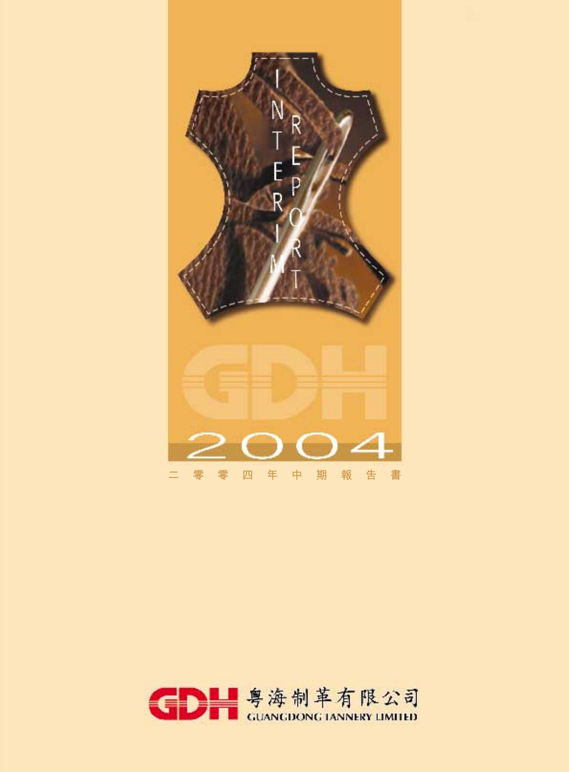

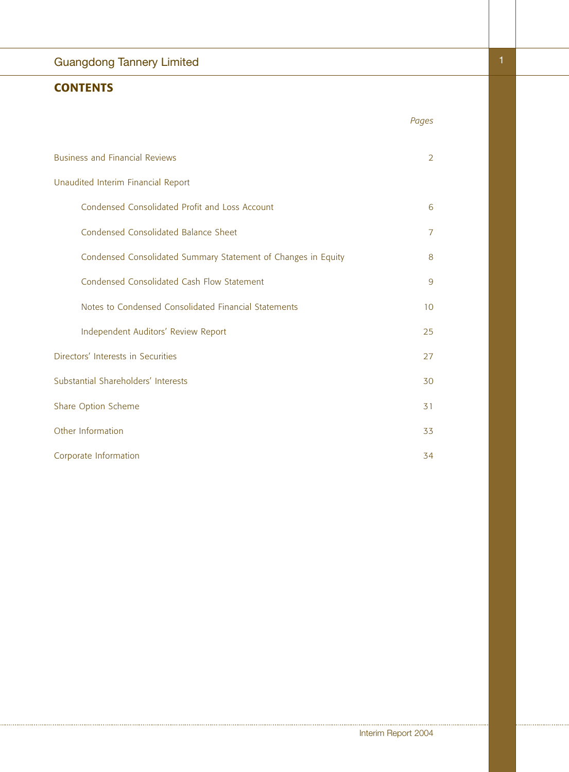# Guangdong Tannery Limited

# **CONTENTS**

| ۰. |  |     |  |
|----|--|-----|--|
| ÷, |  | - - |  |

| <b>Business and Financial Reviews</b>                         | $\overline{2}$ |
|---------------------------------------------------------------|----------------|
| Unaudited Interim Financial Report                            |                |
| Condensed Consolidated Profit and Loss Account                | 6              |
| Condensed Consolidated Balance Sheet                          | $\overline{7}$ |
| Condensed Consolidated Summary Statement of Changes in Equity | 8              |
| Condensed Consolidated Cash Flow Statement                    | 9              |
| Notes to Condensed Consolidated Financial Statements          | 10             |
| Independent Auditors' Review Report                           | 25             |
| Directors' Interests in Securities                            | 27             |
| Substantial Shareholders' Interests                           | 30             |
| Share Option Scheme                                           | 31             |
| Other Information                                             | 33             |
| Corporate Information                                         | 34             |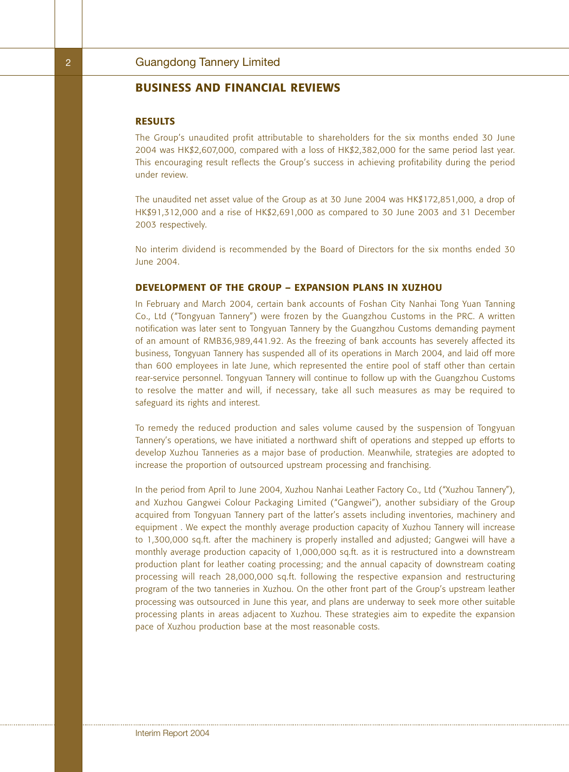### **RESULTS**

The Group's unaudited profit attributable to shareholders for the six months ended 30 June 2004 was HK\$2,607,000, compared with a loss of HK\$2,382,000 for the same period last year. This encouraging result reflects the Group's success in achieving profitability during the period under review.

The unaudited net asset value of the Group as at 30 June 2004 was HK\$172,851,000, a drop of HK\$91,312,000 and a rise of HK\$2,691,000 as compared to 30 June 2003 and 31 December 2003 respectively.

No interim dividend is recommended by the Board of Directors for the six months ended 30 June 2004.

#### **DEVELOPMENT OF THE GROUP – EXPANSION PLANS IN XUZHOU**

In February and March 2004, certain bank accounts of Foshan City Nanhai Tong Yuan Tanning Co., Ltd ("Tongyuan Tannery") were frozen by the Guangzhou Customs in the PRC. A written notification was later sent to Tongyuan Tannery by the Guangzhou Customs demanding payment of an amount of RMB36,989,441.92. As the freezing of bank accounts has severely affected its business, Tongyuan Tannery has suspended all of its operations in March 2004, and laid off more than 600 employees in late June, which represented the entire pool of staff other than certain rear-service personnel. Tongyuan Tannery will continue to follow up with the Guangzhou Customs to resolve the matter and will, if necessary, take all such measures as may be required to safeguard its rights and interest.

To remedy the reduced production and sales volume caused by the suspension of Tongyuan Tannery's operations, we have initiated a northward shift of operations and stepped up efforts to develop Xuzhou Tanneries as a major base of production. Meanwhile, strategies are adopted to increase the proportion of outsourced upstream processing and franchising.

In the period from April to June 2004, Xuzhou Nanhai Leather Factory Co., Ltd ("Xuzhou Tannery"), and Xuzhou Gangwei Colour Packaging Limited ("Gangwei"), another subsidiary of the Group acquired from Tongyuan Tannery part of the latter's assets including inventories, machinery and equipment . We expect the monthly average production capacity of Xuzhou Tannery will increase to 1,300,000 sq.ft. after the machinery is properly installed and adjusted; Gangwei will have a monthly average production capacity of 1,000,000 sq.ft. as it is restructured into a downstream production plant for leather coating processing; and the annual capacity of downstream coating processing will reach 28,000,000 sq.ft. following the respective expansion and restructuring program of the two tanneries in Xuzhou. On the other front part of the Group's upstream leather processing was outsourced in June this year, and plans are underway to seek more other suitable processing plants in areas adjacent to Xuzhou. These strategies aim to expedite the expansion pace of Xuzhou production base at the most reasonable costs.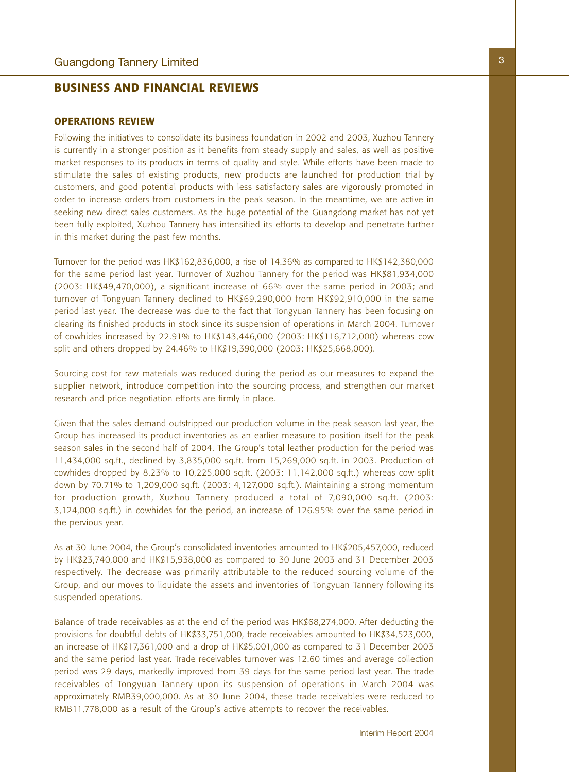### **OPERATIONS REVIEW**

Following the initiatives to consolidate its business foundation in 2002 and 2003, Xuzhou Tannery is currently in a stronger position as it benefits from steady supply and sales, as well as positive market responses to its products in terms of quality and style. While efforts have been made to stimulate the sales of existing products, new products are launched for production trial by customers, and good potential products with less satisfactory sales are vigorously promoted in order to increase orders from customers in the peak season. In the meantime, we are active in seeking new direct sales customers. As the huge potential of the Guangdong market has not yet been fully exploited, Xuzhou Tannery has intensified its efforts to develop and penetrate further in this market during the past few months.

Turnover for the period was HK\$162,836,000, a rise of 14.36% as compared to HK\$142,380,000 for the same period last year. Turnover of Xuzhou Tannery for the period was HK\$81,934,000 (2003: HK\$49,470,000), a significant increase of 66% over the same period in 2003; and turnover of Tongyuan Tannery declined to HK\$69,290,000 from HK\$92,910,000 in the same period last year. The decrease was due to the fact that Tongyuan Tannery has been focusing on clearing its finished products in stock since its suspension of operations in March 2004. Turnover of cowhides increased by 22.91% to HK\$143,446,000 (2003: HK\$116,712,000) whereas cow split and others dropped by 24.46% to HK\$19,390,000 (2003: HK\$25,668,000).

Sourcing cost for raw materials was reduced during the period as our measures to expand the supplier network, introduce competition into the sourcing process, and strengthen our market research and price negotiation efforts are firmly in place.

Given that the sales demand outstripped our production volume in the peak season last year, the Group has increased its product inventories as an earlier measure to position itself for the peak season sales in the second half of 2004. The Group's total leather production for the period was 11,434,000 sq.ft., declined by 3,835,000 sq.ft. from 15,269,000 sq.ft. in 2003. Production of cowhides dropped by 8.23% to 10,225,000 sq.ft. (2003: 11,142,000 sq.ft.) whereas cow split down by 70.71% to 1,209,000 sq.ft. (2003: 4,127,000 sq.ft.). Maintaining a strong momentum for production growth, Xuzhou Tannery produced a total of 7,090,000 sq.ft. (2003: 3,124,000 sq.ft.) in cowhides for the period, an increase of 126.95% over the same period in the pervious year.

As at 30 June 2004, the Group's consolidated inventories amounted to HK\$205,457,000, reduced by HK\$23,740,000 and HK\$15,938,000 as compared to 30 June 2003 and 31 December 2003 respectively. The decrease was primarily attributable to the reduced sourcing volume of the Group, and our moves to liquidate the assets and inventories of Tongyuan Tannery following its suspended operations.

Balance of trade receivables as at the end of the period was HK\$68,274,000. After deducting the provisions for doubtful debts of HK\$33,751,000, trade receivables amounted to HK\$34,523,000, an increase of HK\$17,361,000 and a drop of HK\$5,001,000 as compared to 31 December 2003 and the same period last year. Trade receivables turnover was 12.60 times and average collection period was 29 days, markedly improved from 39 days for the same period last year. The trade receivables of Tongyuan Tannery upon its suspension of operations in March 2004 was approximately RMB39,000,000. As at 30 June 2004, these trade receivables were reduced to RMB11,778,000 as a result of the Group's active attempts to recover the receivables.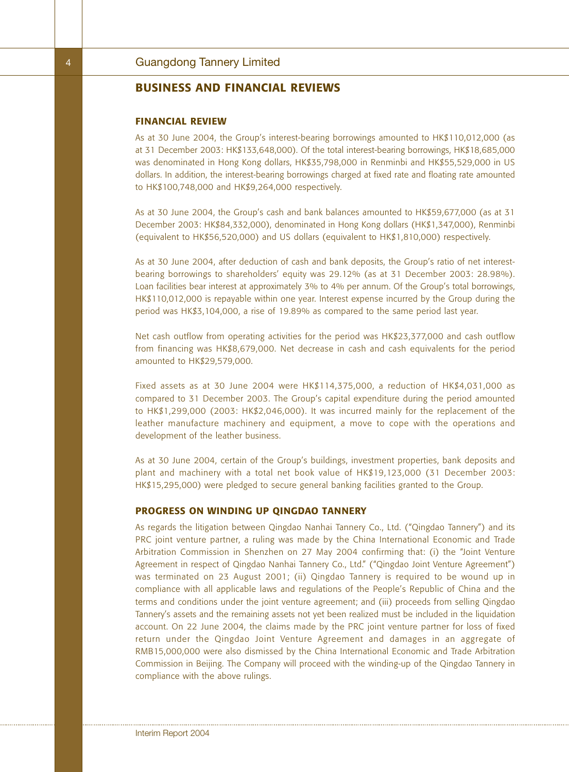#### **FINANCIAL REVIEW**

As at 30 June 2004, the Group's interest-bearing borrowings amounted to HK\$110,012,000 (as at 31 December 2003: HK\$133,648,000). Of the total interest-bearing borrowings, HK\$18,685,000 was denominated in Hong Kong dollars, HK\$35,798,000 in Renminbi and HK\$55,529,000 in US dollars. In addition, the interest-bearing borrowings charged at fixed rate and floating rate amounted to HK\$100,748,000 and HK\$9,264,000 respectively.

As at 30 June 2004, the Group's cash and bank balances amounted to HK\$59,677,000 (as at 31 December 2003: HK\$84,332,000), denominated in Hong Kong dollars (HK\$1,347,000), Renminbi (equivalent to HK\$56,520,000) and US dollars (equivalent to HK\$1,810,000) respectively.

As at 30 June 2004, after deduction of cash and bank deposits, the Group's ratio of net interestbearing borrowings to shareholders' equity was 29.12% (as at 31 December 2003: 28.98%). Loan facilities bear interest at approximately 3% to 4% per annum. Of the Group's total borrowings, HK\$110,012,000 is repayable within one year. Interest expense incurred by the Group during the period was HK\$3,104,000, a rise of 19.89% as compared to the same period last year.

Net cash outflow from operating activities for the period was HK\$23,377,000 and cash outflow from financing was HK\$8,679,000. Net decrease in cash and cash equivalents for the period amounted to HK\$29,579,000.

Fixed assets as at 30 June 2004 were HK\$114,375,000, a reduction of HK\$4,031,000 as compared to 31 December 2003. The Group's capital expenditure during the period amounted to HK\$1,299,000 (2003: HK\$2,046,000). It was incurred mainly for the replacement of the leather manufacture machinery and equipment, a move to cope with the operations and development of the leather business.

As at 30 June 2004, certain of the Group's buildings, investment properties, bank deposits and plant and machinery with a total net book value of HK\$19,123,000 (31 December 2003: HK\$15,295,000) were pledged to secure general banking facilities granted to the Group.

### **PROGRESS ON WINDING UP QINGDAO TANNERY**

As regards the litigation between Qingdao Nanhai Tannery Co., Ltd. ("Qingdao Tannery") and its PRC joint venture partner, a ruling was made by the China International Economic and Trade Arbitration Commission in Shenzhen on 27 May 2004 confirming that: (i) the "Joint Venture Agreement in respect of Qingdao Nanhai Tannery Co., Ltd." ("Qingdao Joint Venture Agreement") was terminated on 23 August 2001; (ii) Qingdao Tannery is required to be wound up in compliance with all applicable laws and regulations of the People's Republic of China and the terms and conditions under the joint venture agreement; and (iii) proceeds from selling Qingdao Tannery's assets and the remaining assets not yet been realized must be included in the liquidation account. On 22 June 2004, the claims made by the PRC joint venture partner for loss of fixed return under the Qingdao Joint Venture Agreement and damages in an aggregate of RMB15,000,000 were also dismissed by the China International Economic and Trade Arbitration Commission in Beijing. The Company will proceed with the winding-up of the Qingdao Tannery in compliance with the above rulings.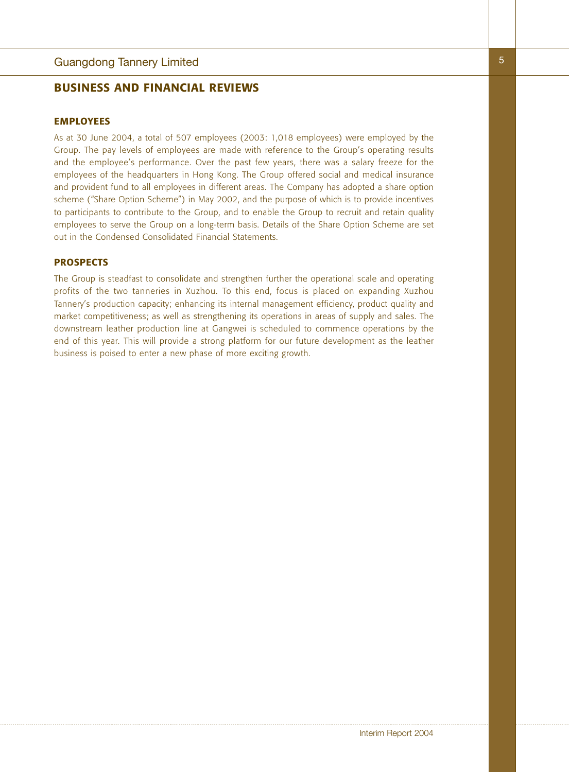#### **EMPLOYEES**

As at 30 June 2004, a total of 507 employees (2003: 1,018 employees) were employed by the Group. The pay levels of employees are made with reference to the Group's operating results and the employee's performance. Over the past few years, there was a salary freeze for the employees of the headquarters in Hong Kong. The Group offered social and medical insurance and provident fund to all employees in different areas. The Company has adopted a share option scheme ("Share Option Scheme") in May 2002, and the purpose of which is to provide incentives to participants to contribute to the Group, and to enable the Group to recruit and retain quality employees to serve the Group on a long-term basis. Details of the Share Option Scheme are set out in the Condensed Consolidated Financial Statements.

### **PROSPECTS**

The Group is steadfast to consolidate and strengthen further the operational scale and operating profits of the two tanneries in Xuzhou. To this end, focus is placed on expanding Xuzhou Tannery's production capacity; enhancing its internal management efficiency, product quality and market competitiveness; as well as strengthening its operations in areas of supply and sales. The downstream leather production line at Gangwei is scheduled to commence operations by the end of this year. This will provide a strong platform for our future development as the leather business is poised to enter a new phase of more exciting growth.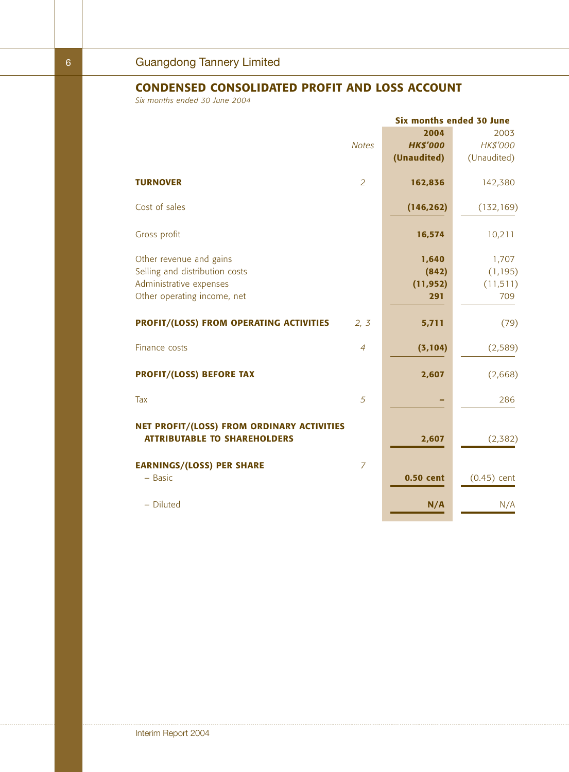## **CONDENSED CONSOLIDATED PROFIT AND LOSS ACCOUNT**

*Six months ended 30 June 2004*

|                                                                                   |                | <b>Six months ended 30 June</b> |               |  |  |
|-----------------------------------------------------------------------------------|----------------|---------------------------------|---------------|--|--|
|                                                                                   |                | 2004                            | 2003          |  |  |
|                                                                                   | <b>Notes</b>   | <b>HK\$'000</b>                 | HK\$'000      |  |  |
|                                                                                   |                | (Unaudited)                     | (Unaudited)   |  |  |
| <b>TURNOVER</b>                                                                   | $\overline{2}$ | 162,836                         | 142,380       |  |  |
| Cost of sales                                                                     |                | (146, 262)                      | (132, 169)    |  |  |
| Gross profit                                                                      |                | 16,574                          | 10,211        |  |  |
| Other revenue and gains                                                           |                | 1,640                           | 1,707         |  |  |
| Selling and distribution costs                                                    |                | (842)                           | (1, 195)      |  |  |
| Administrative expenses                                                           |                | (11, 952)                       | (11, 511)     |  |  |
| Other operating income, net                                                       |                | 291                             | 709           |  |  |
| PROFIT/(LOSS) FROM OPERATING ACTIVITIES                                           | 2, 3           | 5,711                           | (79)          |  |  |
| Finance costs                                                                     | $\overline{4}$ | (3, 104)                        | (2, 589)      |  |  |
| <b>PROFIT/(LOSS) BEFORE TAX</b>                                                   |                | 2,607                           | (2,668)       |  |  |
| Tax                                                                               | 5              |                                 | 286           |  |  |
| NET PROFIT/(LOSS) FROM ORDINARY ACTIVITIES<br><b>ATTRIBUTABLE TO SHAREHOLDERS</b> |                | 2,607                           | (2, 382)      |  |  |
| <b>EARNINGS/(LOSS) PER SHARE</b>                                                  | $\overline{7}$ |                                 |               |  |  |
| $-$ Basic                                                                         |                | 0.50 cent                       | $(0.45)$ cent |  |  |
| - Diluted                                                                         |                | N/A                             | N/A           |  |  |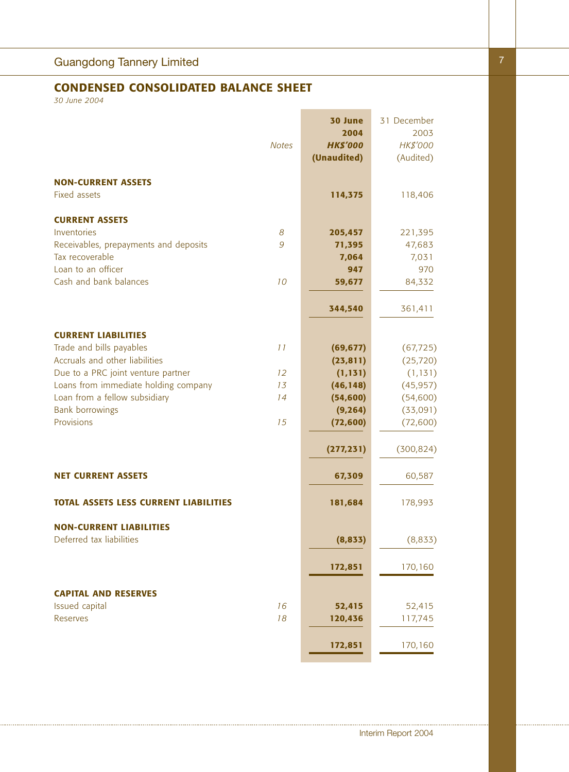# **CONDENSED CONSOLIDATED BALANCE SHEET**

*30 June 2004*

|                                                        | <b>Notes</b> | 30 June<br>2004<br><b>HK\$'000</b><br>(Unaudited) | 31 December<br>2003<br>HK\$'000<br>(Audited) |
|--------------------------------------------------------|--------------|---------------------------------------------------|----------------------------------------------|
| <b>NON-CURRENT ASSETS</b><br><b>Fixed assets</b>       |              | 114,375                                           |                                              |
|                                                        |              |                                                   | 118,406                                      |
| <b>CURRENT ASSETS</b>                                  |              |                                                   |                                              |
| Inventories                                            | 8            | 205,457                                           | 221,395                                      |
| Receivables, prepayments and deposits                  | 9            | 71,395                                            | 47,683                                       |
| Tax recoverable                                        |              | 7,064                                             | 7,031                                        |
| Loan to an officer                                     |              | 947                                               | 970                                          |
| Cash and bank balances                                 | 10           | 59,677                                            | 84,332                                       |
|                                                        |              | 344,540                                           | 361,411                                      |
|                                                        |              |                                                   |                                              |
| <b>CURRENT LIABILITIES</b><br>Trade and bills payables | 11           | (69, 677)                                         | (67, 725)                                    |
| Accruals and other liabilities                         |              | (23, 811)                                         | (25, 720)                                    |
| Due to a PRC joint venture partner                     | 12           | (1, 131)                                          | (1, 131)                                     |
| Loans from immediate holding company                   | 13           | (46, 148)                                         | (45, 957)                                    |
| Loan from a fellow subsidiary                          | 14           | (54, 600)                                         | (54,600)                                     |
| <b>Bank borrowings</b>                                 |              | (9, 264)                                          | (33,091)                                     |
| Provisions                                             | 15           | (72,600)                                          | (72,600)                                     |
|                                                        |              | (277, 231)                                        | (300, 824)                                   |
| <b>NET CURRENT ASSETS</b>                              |              | 67,309                                            | 60,587                                       |
| <b>TOTAL ASSETS LESS CURRENT LIABILITIES</b>           |              | 181,684                                           | 178,993                                      |
| <b>NON-CURRENT LIABILITIES</b>                         |              |                                                   |                                              |
| Deferred tax liabilities                               |              | (8, 833)                                          | (8,833)                                      |
|                                                        |              | 172,851                                           | 170,160                                      |
| <b>CAPITAL AND RESERVES</b>                            |              |                                                   |                                              |
| Issued capital                                         | 16           | 52,415                                            | 52,415                                       |
| <b>Reserves</b>                                        | 18           | 120,436                                           | 117,745                                      |
|                                                        |              | 172,851                                           | 170,160                                      |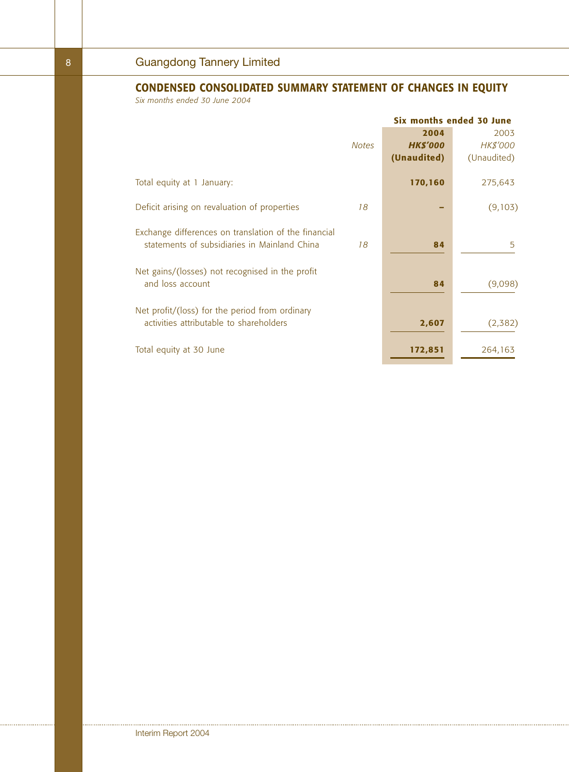# **CONDENSED CONSOLIDATED SUMMARY STATEMENT OF CHANGES IN EQUITY**

*Six months ended 30 June 2004*

|                                                                                                      | Six months ended 30 June |                                        |                                 |
|------------------------------------------------------------------------------------------------------|--------------------------|----------------------------------------|---------------------------------|
|                                                                                                      | <b>Notes</b>             | 2004<br><b>HK\$'000</b><br>(Unaudited) | 2003<br>HK\$'000<br>(Unaudited) |
| Total equity at 1 January:                                                                           |                          | 170,160                                | 275,643                         |
| Deficit arising on revaluation of properties                                                         | 18                       |                                        | (9,103)                         |
| Exchange differences on translation of the financial<br>statements of subsidiaries in Mainland China | 18                       | 84                                     | 5                               |
| Net gains/(losses) not recognised in the profit<br>and loss account                                  |                          | 84                                     | (9,098)                         |
| Net profit/(loss) for the period from ordinary<br>activities attributable to shareholders            |                          | 2,607                                  | (2,382)                         |
| Total equity at 30 June                                                                              |                          | 172,851                                | 264,163                         |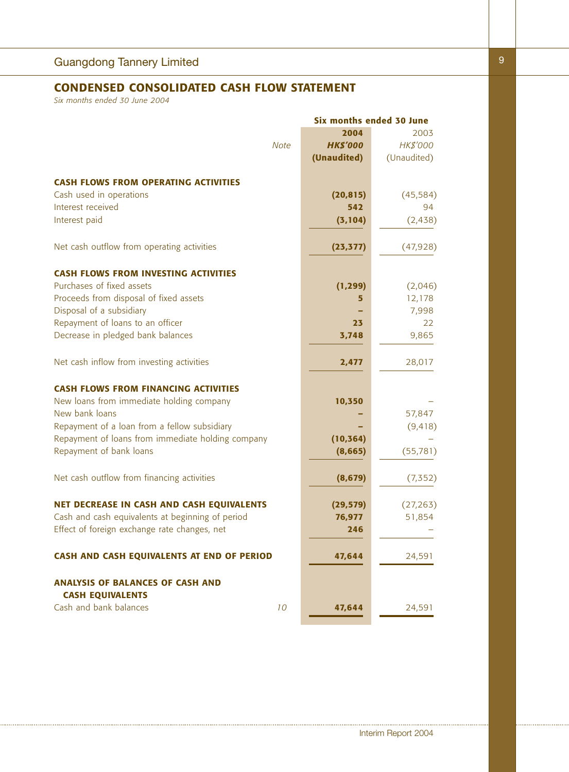## **CONDENSED CONSOLIDATED CASH FLOW STATEMENT**

*Six months ended 30 June 2004*

|                                                   |                 | <b>Six months ended 30 June</b> |
|---------------------------------------------------|-----------------|---------------------------------|
|                                                   | 2004            | 2003                            |
| <b>Note</b>                                       | <b>HK\$'000</b> | HK\$'000                        |
|                                                   | (Unaudited)     | (Unaudited)                     |
|                                                   |                 |                                 |
| <b>CASH FLOWS FROM OPERATING ACTIVITIES</b>       |                 |                                 |
| Cash used in operations                           | (20, 815)       | (45, 584)                       |
| Interest received                                 | 542             | 94                              |
| Interest paid                                     | (3, 104)        | (2, 438)                        |
| Net cash outflow from operating activities        | (23, 377)       | (47,928)                        |
| <b>CASH FLOWS FROM INVESTING ACTIVITIES</b>       |                 |                                 |
| Purchases of fixed assets                         | (1, 299)        | (2,046)                         |
| Proceeds from disposal of fixed assets            | 5               | 12,178                          |
| Disposal of a subsidiary                          |                 | 7,998                           |
| Repayment of loans to an officer                  | 23              | 22                              |
| Decrease in pledged bank balances                 | 3,748           | 9,865                           |
|                                                   |                 |                                 |
| Net cash inflow from investing activities         | 2,477           | 28,017                          |
| <b>CASH FLOWS FROM FINANCING ACTIVITIES</b>       |                 |                                 |
| New loans from immediate holding company          | 10,350          |                                 |
| New bank loans                                    |                 | 57,847                          |
| Repayment of a loan from a fellow subsidiary      |                 | (9, 418)                        |
| Repayment of loans from immediate holding company | (10, 364)       |                                 |
| Repayment of bank loans                           | (8,665)         | (55, 781)                       |
| Net cash outflow from financing activities        | (8, 679)        | (7, 352)                        |
|                                                   |                 |                                 |
| NET DECREASE IN CASH AND CASH EQUIVALENTS         | (29, 579)       | (27, 263)                       |
| Cash and cash equivalents at beginning of period  | 76,977          | 51,854                          |
| Effect of foreign exchange rate changes, net      | 246             |                                 |
| CASH AND CASH EQUIVALENTS AT END OF PERIOD        | 47,644          | 24,591                          |
| <b>ANALYSIS OF BALANCES OF CASH AND</b>           |                 |                                 |
| <b>CASH EQUIVALENTS</b>                           |                 |                                 |
| Cash and bank balances<br>10                      | 47,644          | 24,591                          |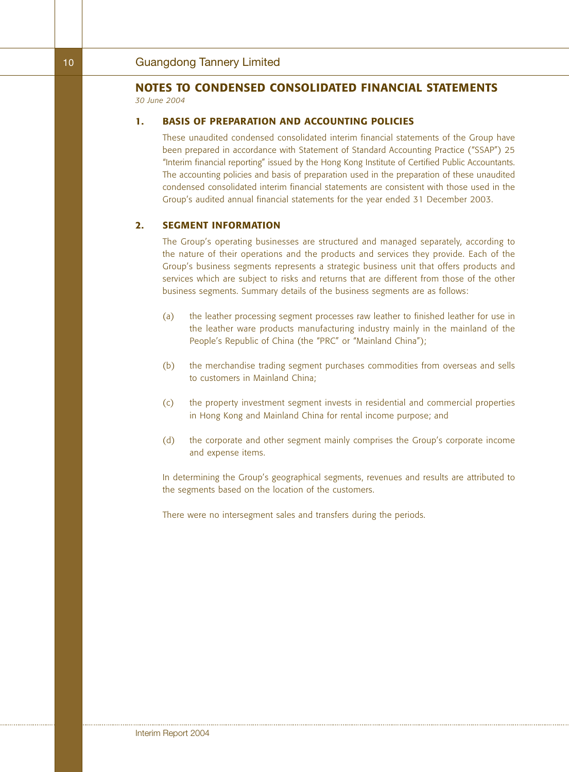### **1. BASIS OF PREPARATION AND ACCOUNTING POLICIES**

These unaudited condensed consolidated interim financial statements of the Group have been prepared in accordance with Statement of Standard Accounting Practice ("SSAP") 25 "Interim financial reporting" issued by the Hong Kong Institute of Certified Public Accountants. The accounting policies and basis of preparation used in the preparation of these unaudited condensed consolidated interim financial statements are consistent with those used in the Group's audited annual financial statements for the year ended 31 December 2003.

#### **2. SEGMENT INFORMATION**

The Group's operating businesses are structured and managed separately, according to the nature of their operations and the products and services they provide. Each of the Group's business segments represents a strategic business unit that offers products and services which are subject to risks and returns that are different from those of the other business segments. Summary details of the business segments are as follows:

- (a) the leather processing segment processes raw leather to finished leather for use in the leather ware products manufacturing industry mainly in the mainland of the People's Republic of China (the "PRC" or "Mainland China");
- (b) the merchandise trading segment purchases commodities from overseas and sells to customers in Mainland China;
- (c) the property investment segment invests in residential and commercial properties in Hong Kong and Mainland China for rental income purpose; and
- (d) the corporate and other segment mainly comprises the Group's corporate income and expense items.

In determining the Group's geographical segments, revenues and results are attributed to the segments based on the location of the customers.

There were no intersegment sales and transfers during the periods.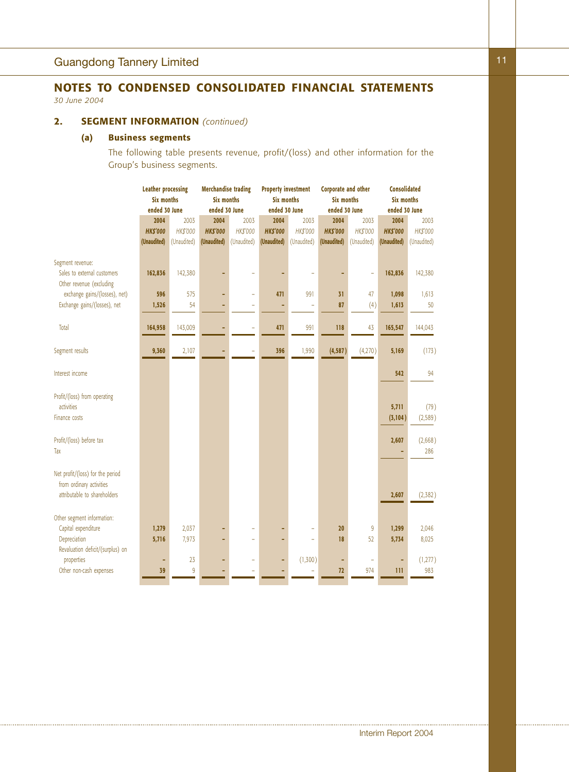## **2. SEGMENT INFORMATION** *(continued)*

## **(a) Business segments**

The following table presents revenue, profit/(loss) and other information for the Group's business segments.

|                                  | <b>Leather processing</b> |             | <b>Merchandise trading</b>             |                          | <b>Property investment</b> |             | <b>Corporate and other</b> |             | <b>Consolidated</b> |             |
|----------------------------------|---------------------------|-------------|----------------------------------------|--------------------------|----------------------------|-------------|----------------------------|-------------|---------------------|-------------|
|                                  | <b>Six months</b>         |             | <b>Six months</b><br><b>Six months</b> |                          | <b>Six months</b>          |             | <b>Six months</b>          |             |                     |             |
|                                  | ended 30 June             |             | ended 30 June                          |                          | ended 30 June              |             | ended 30 June              |             | ended 30 June       |             |
|                                  | 2004                      | 2003        | 2004                                   | 2003                     | 2004                       | 2003        | 2004                       | 2003        | 2004                | 2003        |
|                                  | <b>HKS'000</b>            | HK\$'000    | <b>HK\$'000</b>                        | HK\$'000                 | <b>HK\$'000</b>            | HK\$'000    | <b>HK\$'000</b>            | HK\$'000    | <b>HK\$'000</b>     | HK\$'000    |
|                                  | (Unaudited)               | (Unaudited) | (Unaudited)                            | (Unaudited)              | (Unaudited)                | (Unaudited) | (Unaudited)                | (Unaudited) | (Unaudited)         | (Unaudited) |
| Segment revenue:                 |                           |             |                                        |                          |                            |             |                            |             |                     |             |
| Sales to external customers      | 162,836                   | 142,380     |                                        |                          |                            |             |                            |             | 162,836             | 142,380     |
| Other revenue (excluding         |                           |             |                                        |                          |                            |             |                            |             |                     |             |
| exchange gains/(losses), net)    | 596                       | 575         |                                        | $\overline{a}$           | 471                        | 991         | 31                         | 47          | 1,098               | 1,613       |
| Exchange gains/(losses), net     | 1,526                     | 54          |                                        | ÷                        |                            | ÷           | 87                         | (4)         | 1,613               | 50          |
|                                  |                           |             |                                        |                          |                            |             |                            |             |                     |             |
| Total                            | 164,958                   | 143,009     |                                        |                          | 471                        | 991         | 118                        | 43          | 165,547             | 144,043     |
|                                  |                           |             |                                        |                          |                            |             |                            |             |                     |             |
| Segment results                  | 9,360                     | 2,107       |                                        |                          | 396                        | 1,990       | (4, 587)                   | (4,270)     | 5,169               | (173)       |
| Interest income                  |                           |             |                                        |                          |                            |             |                            |             | 542                 | 94          |
|                                  |                           |             |                                        |                          |                            |             |                            |             |                     |             |
| Profit/(loss) from operating     |                           |             |                                        |                          |                            |             |                            |             |                     |             |
| activities                       |                           |             |                                        |                          |                            |             |                            |             | 5,711               | (79)        |
| Finance costs                    |                           |             |                                        |                          |                            |             |                            |             | (3, 104)            | (2, 589)    |
|                                  |                           |             |                                        |                          |                            |             |                            |             |                     |             |
| Profit/(loss) before tax         |                           |             |                                        |                          |                            |             |                            |             | 2,607               | (2,668)     |
| Tax                              |                           |             |                                        |                          |                            |             |                            |             |                     | 286         |
|                                  |                           |             |                                        |                          |                            |             |                            |             |                     |             |
| Net profit/(loss) for the period |                           |             |                                        |                          |                            |             |                            |             |                     |             |
| from ordinary activities         |                           |             |                                        |                          |                            |             |                            |             |                     |             |
| attributable to shareholders     |                           |             |                                        |                          |                            |             |                            |             | 2,607               | (2, 382)    |
|                                  |                           |             |                                        |                          |                            |             |                            |             |                     |             |
| Other segment information:       |                           |             |                                        |                          |                            |             |                            |             |                     |             |
| Capital expenditure              | 1,279                     | 2,037       |                                        |                          |                            |             | 20                         | 9           | 1,299               | 2,046       |
| Depreciation                     | 5,716                     | 7,973       |                                        | $\overline{\phantom{a}}$ | ٠                          | ÷,          | 18                         | 52          | 5,734               | 8,025       |
| Revaluation deficit/(surplus) on |                           |             |                                        |                          |                            |             |                            |             |                     |             |
| properties                       |                           | 23          |                                        |                          | ٠                          | (1,300)     | ٠                          |             |                     | (1,277)     |
| Other non-cash expenses          | 39                        | 9           |                                        |                          |                            | ÷,          | 72                         | 974         | 111                 | 983         |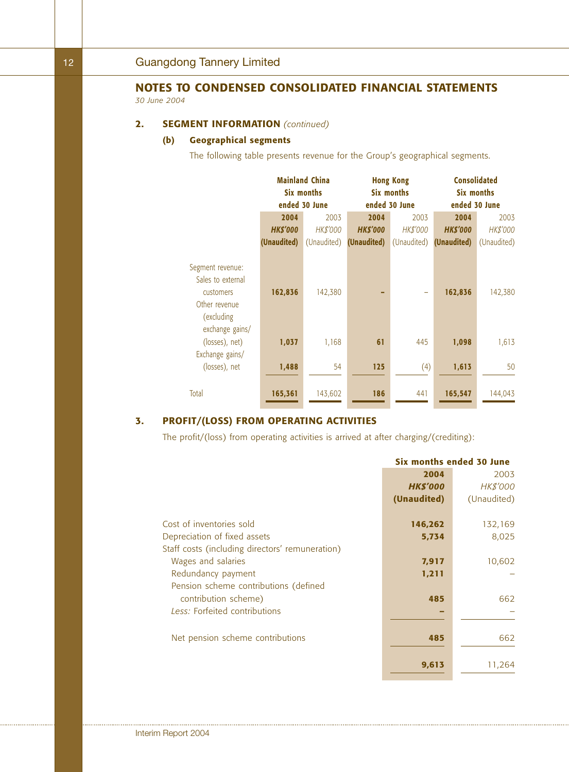## **2. SEGMENT INFORMATION** *(continued)*

## **(b) Geographical segments**

The following table presents revenue for the Group's geographical segments.

|                                                                                                       |                | <b>Mainland China</b><br>Six months<br>ended 30 June | <b>Hong Kong</b><br>Six months<br>ended 30 June |          | <b>Consolidated</b><br>Six months<br>ended 30 June |             |  |
|-------------------------------------------------------------------------------------------------------|----------------|------------------------------------------------------|-------------------------------------------------|----------|----------------------------------------------------|-------------|--|
|                                                                                                       | 2004           | 2003                                                 | 2004                                            | 2003     | 2004                                               | 2003        |  |
|                                                                                                       | <b>HKS'000</b> | <b>HK\$'000</b>                                      | <b>HKS'000</b>                                  | HK\$'000 | <b>HKS'000</b>                                     | HK\$'000    |  |
|                                                                                                       | (Unaudited)    | (Unaudited)                                          | <b>(Unaudited)</b> (Unaudited)                  |          | (Unaudited)                                        | (Unaudited) |  |
| Segment revenue:<br>Sales to external<br>customers<br>Other revenue<br>(excluding)<br>exchange gains/ | 162,836        | 142,380                                              |                                                 |          | 162,836                                            | 142,380     |  |
| (losses), net)                                                                                        | 1,037          | 1,168                                                | 61                                              | 445      | 1,098                                              | 1,613       |  |
| Exchange gains/<br>(losses), net                                                                      | 1,488          | 54                                                   | 125                                             | (4)      | 1,613                                              | 50          |  |
| Total                                                                                                 | 165,361        | 143,602                                              | 186                                             | 441      | 165,547                                            | 144,043     |  |

## **3. PROFIT/(LOSS) FROM OPERATING ACTIVITIES**

The profit/(loss) from operating activities is arrived at after charging/(crediting):

|                                                 | Six months ended 30 June |                 |  |
|-------------------------------------------------|--------------------------|-----------------|--|
|                                                 | 2004                     | 2003            |  |
|                                                 | <b>HK\$'000</b>          | <b>HK\$'000</b> |  |
|                                                 | (Unaudited)              | (Unaudited)     |  |
| Cost of inventories sold                        | 146,262                  | 132,169         |  |
| Depreciation of fixed assets                    | 5,734                    | 8,025           |  |
| Staff costs (including directors' remuneration) |                          |                 |  |
| Wages and salaries                              | 7,917                    | 10,602          |  |
| Redundancy payment                              | 1,211                    |                 |  |
| Pension scheme contributions (defined           |                          |                 |  |
| contribution scheme)                            | 485                      | 662             |  |
| Less: Forfeited contributions                   |                          |                 |  |
|                                                 |                          |                 |  |
| Net pension scheme contributions                | 485                      | 662             |  |
|                                                 |                          |                 |  |
|                                                 | 9,613                    | 11,264          |  |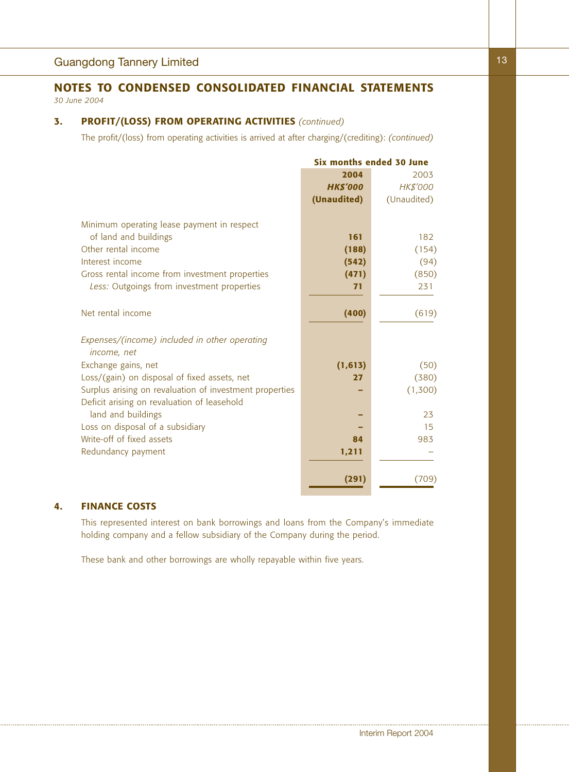## **3. PROFIT/(LOSS) FROM OPERATING ACTIVITIES** *(continued)*

The profit/(loss) from operating activities is arrived at after charging/(crediting): *(continued)*

|                                                                     | Six months ended 30 June |             |  |
|---------------------------------------------------------------------|--------------------------|-------------|--|
|                                                                     | 2004                     | 2003        |  |
|                                                                     | <b>HK\$'000</b>          | HK\$'000    |  |
|                                                                     | (Unaudited)              | (Unaudited) |  |
|                                                                     |                          |             |  |
| Minimum operating lease payment in respect<br>of land and buildings | 161                      | 182         |  |
| Other rental income                                                 | (188)                    | (154)       |  |
| Interest income                                                     | (542)                    | (94)        |  |
| Gross rental income from investment properties                      | (471)                    | (850)       |  |
| Less: Outgoings from investment properties                          | 71                       | 231         |  |
|                                                                     |                          |             |  |
| Net rental income                                                   | (400)                    | (619)       |  |
|                                                                     |                          |             |  |
| Expenses/(income) included in other operating                       |                          |             |  |
| income, net                                                         |                          |             |  |
| Exchange gains, net                                                 | (1, 613)                 | (50)        |  |
| Loss/(gain) on disposal of fixed assets, net                        | 27                       | (380)       |  |
| Surplus arising on revaluation of investment properties             |                          | (1,300)     |  |
| Deficit arising on revaluation of leasehold                         |                          |             |  |
| land and buildings                                                  |                          | 23          |  |
| Loss on disposal of a subsidiary                                    |                          | 15          |  |
| Write-off of fixed assets                                           | 84                       | 983         |  |
| Redundancy payment                                                  | 1,211                    |             |  |
|                                                                     |                          |             |  |
|                                                                     | (291)                    | (709)       |  |

## **4. FINANCE COSTS**

This represented interest on bank borrowings and loans from the Company's immediate holding company and a fellow subsidiary of the Company during the period.

These bank and other borrowings are wholly repayable within five years.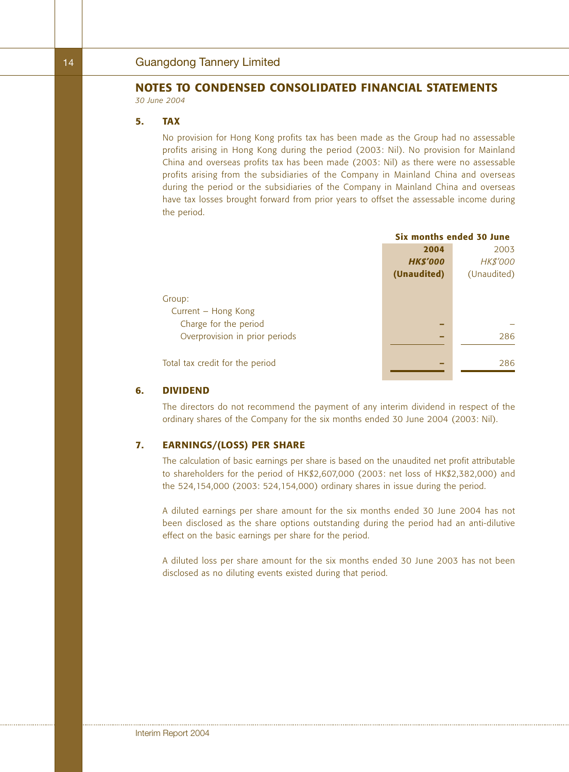#### **5. TAX**

No provision for Hong Kong profits tax has been made as the Group had no assessable profits arising in Hong Kong during the period (2003: Nil). No provision for Mainland China and overseas profits tax has been made (2003: Nil) as there were no assessable profits arising from the subsidiaries of the Company in Mainland China and overseas during the period or the subsidiaries of the Company in Mainland China and overseas have tax losses brought forward from prior years to offset the assessable income during the period.

|                                 | Six months ended 30 June |                 |  |
|---------------------------------|--------------------------|-----------------|--|
|                                 | 2004                     | 2003            |  |
|                                 | <b>HK\$'000</b>          | <b>HK\$'000</b> |  |
|                                 | (Unaudited)              | (Unaudited)     |  |
|                                 |                          |                 |  |
| Group:                          |                          |                 |  |
| Current - Hong Kong             |                          |                 |  |
| Charge for the period           |                          |                 |  |
| Overprovision in prior periods  |                          | 286             |  |
|                                 |                          |                 |  |
| Total tax credit for the period |                          | 286             |  |
|                                 |                          |                 |  |

#### **6. DIVIDEND**

The directors do not recommend the payment of any interim dividend in respect of the ordinary shares of the Company for the six months ended 30 June 2004 (2003: Nil).

## **7. EARNINGS/(LOSS) PER SHARE**

The calculation of basic earnings per share is based on the unaudited net profit attributable to shareholders for the period of HK\$2,607,000 (2003: net loss of HK\$2,382,000) and the 524,154,000 (2003: 524,154,000) ordinary shares in issue during the period.

A diluted earnings per share amount for the six months ended 30 June 2004 has not been disclosed as the share options outstanding during the period had an anti-dilutive effect on the basic earnings per share for the period.

A diluted loss per share amount for the six months ended 30 June 2003 has not been disclosed as no diluting events existed during that period.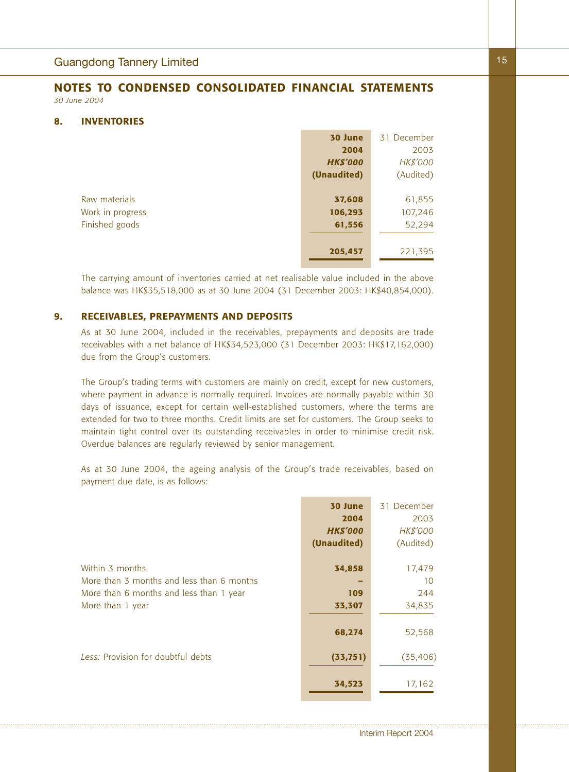#### **8. INVENTORIES**

|                  | 30 June         | 31 December     |
|------------------|-----------------|-----------------|
|                  | 2004            | 2003            |
|                  | <b>HK\$'000</b> | <b>HK\$'000</b> |
|                  | (Unaudited)     | (Audited)       |
|                  |                 |                 |
| Raw materials    | 37,608          | 61,855          |
| Work in progress | 106,293         | 107,246         |
| Finished goods   | 61,556          | 52,294          |
|                  |                 |                 |
|                  | 205,457         | 221,395         |
|                  |                 |                 |

The carrying amount of inventories carried at net realisable value included in the above balance was HK\$35,518,000 as at 30 June 2004 (31 December 2003: HK\$40,854,000).

#### **9. RECEIVABLES, PREPAYMENTS AND DEPOSITS**

As at 30 June 2004, included in the receivables, prepayments and deposits are trade receivables with a net balance of HK\$34,523,000 (31 December 2003: HK\$17,162,000) due from the Group's customers.

The Group's trading terms with customers are mainly on credit, except for new customers, where payment in advance is normally required. Invoices are normally payable within 30 days of issuance, except for certain well-established customers, where the terms are extended for two to three months. Credit limits are set for customers. The Group seeks to maintain tight control over its outstanding receivables in order to minimise credit risk. Overdue balances are regularly reviewed by senior management.

As at 30 June 2004, the ageing analysis of the Group's trade receivables, based on payment due date, is as follows:

|                                                                                                         | 30 June<br>2004<br><b>HK\$'000</b><br>(Unaudited) | 31 December<br>2003<br><b>HK\$'000</b><br>(Audited) |
|---------------------------------------------------------------------------------------------------------|---------------------------------------------------|-----------------------------------------------------|
| Within 3 months<br>More than 3 months and less than 6 months<br>More than 6 months and less than 1 year | 34,858<br>109                                     | 17,479<br>10<br>244                                 |
| More than 1 year                                                                                        | 33,307                                            | 34,835                                              |
| Less: Provision for doubtful debts                                                                      | 68,274<br>(33, 751)                               | 52,568<br>(35, 406)                                 |
|                                                                                                         | 34,523                                            | 17,162                                              |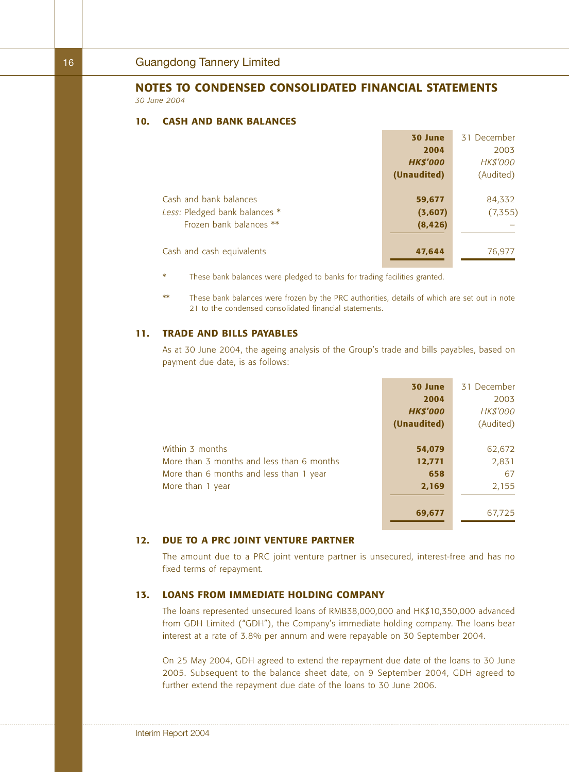#### **10. CASH AND BANK BALANCES**

|                               | 30 June         | 31 December     |
|-------------------------------|-----------------|-----------------|
|                               | 2004            | 2003            |
|                               | <b>HK\$'000</b> | <b>HK\$'000</b> |
|                               | (Unaudited)     | (Audited)       |
|                               |                 |                 |
| Cash and bank balances        | 59,677          | 84,332          |
| Less: Pledged bank balances * | (3,607)         | (7, 355)        |
| Frozen bank balances **       | (8, 426)        |                 |
|                               |                 |                 |
| Cash and cash equivalents     | 47,644          | 76,977          |
|                               |                 |                 |

- These bank balances were pledged to banks for trading facilities granted.
- \*\* These bank balances were frozen by the PRC authorities, details of which are set out in note 21 to the condensed consolidated financial statements.

### **11. TRADE AND BILLS PAYABLES**

As at 30 June 2004, the ageing analysis of the Group's trade and bills payables, based on payment due date, is as follows:

|                                           | 30 June         | 31 December     |
|-------------------------------------------|-----------------|-----------------|
|                                           | 2004            | 2003            |
|                                           | <b>HK\$'000</b> | <b>HK\$'000</b> |
|                                           | (Unaudited)     | (Audited)       |
|                                           |                 |                 |
| Within 3 months                           | 54,079          | 62,672          |
| More than 3 months and less than 6 months | 12,771          | 2,831           |
| More than 6 months and less than 1 year   | 658             | 67              |
| More than 1 year                          | 2,169           | 2,155           |
|                                           |                 |                 |
|                                           | 69,677          | 67,725          |

### **12. DUE TO A PRC JOINT VENTURE PARTNER**

The amount due to a PRC joint venture partner is unsecured, interest-free and has no fixed terms of repayment.

### **13. LOANS FROM IMMEDIATE HOLDING COMPANY**

The loans represented unsecured loans of RMB38,000,000 and HK\$10,350,000 advanced from GDH Limited ("GDH"), the Company's immediate holding company. The loans bear interest at a rate of 3.8% per annum and were repayable on 30 September 2004.

On 25 May 2004, GDH agreed to extend the repayment due date of the loans to 30 June 2005. Subsequent to the balance sheet date, on 9 September 2004, GDH agreed to further extend the repayment due date of the loans to 30 June 2006.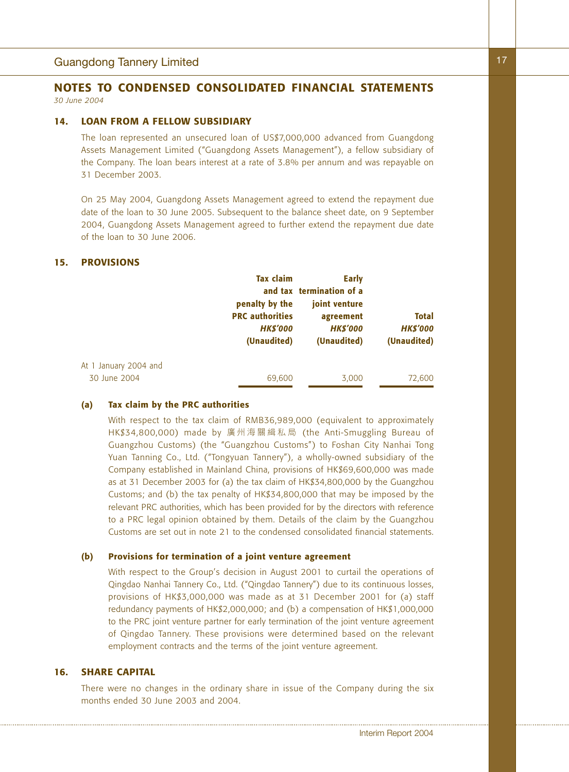#### **14. LOAN FROM A FELLOW SUBSIDIARY**

The loan represented an unsecured loan of US\$7,000,000 advanced from Guangdong Assets Management Limited ("Guangdong Assets Management"), a fellow subsidiary of the Company. The loan bears interest at a rate of 3.8% per annum and was repayable on 31 December 2003.

On 25 May 2004, Guangdong Assets Management agreed to extend the repayment due date of the loan to 30 June 2005. Subsequent to the balance sheet date, on 9 September 2004, Guangdong Assets Management agreed to further extend the repayment due date of the loan to 30 June 2006.

#### **15. PROVISIONS**

|                                       | <b>Tax claim</b><br>penalty by the<br><b>PRC authorities</b><br><b>HK\$'000</b><br>(Unaudited) | Early<br>and tax termination of a<br>joint venture<br>agreement<br><b>HKS'000</b><br>(Unaudited) | <b>Total</b><br><b>HK\$'000</b><br>(Unaudited) |
|---------------------------------------|------------------------------------------------------------------------------------------------|--------------------------------------------------------------------------------------------------|------------------------------------------------|
| At 1 January 2004 and<br>30 June 2004 | 69,600                                                                                         | 3,000                                                                                            | 72,600                                         |

### **(a) Tax claim by the PRC authorities**

With respect to the tax claim of RMB36,989,000 (equivalent to approximately HK\$34,800,000) made by 廣州海關緝私局 (the Anti-Smuggling Bureau of Guangzhou Customs) (the "Guangzhou Customs") to Foshan City Nanhai Tong Yuan Tanning Co., Ltd. ("Tongyuan Tannery"), a wholly-owned subsidiary of the Company established in Mainland China, provisions of HK\$69,600,000 was made as at 31 December 2003 for (a) the tax claim of HK\$34,800,000 by the Guangzhou Customs; and (b) the tax penalty of HK\$34,800,000 that may be imposed by the relevant PRC authorities, which has been provided for by the directors with reference to a PRC legal opinion obtained by them. Details of the claim by the Guangzhou Customs are set out in note 21 to the condensed consolidated financial statements.

#### **(b) Provisions for termination of a joint venture agreement**

With respect to the Group's decision in August 2001 to curtail the operations of Qingdao Nanhai Tannery Co., Ltd. ("Qingdao Tannery") due to its continuous losses, provisions of HK\$3,000,000 was made as at 31 December 2001 for (a) staff redundancy payments of HK\$2,000,000; and (b) a compensation of HK\$1,000,000 to the PRC joint venture partner for early termination of the joint venture agreement of Qingdao Tannery. These provisions were determined based on the relevant employment contracts and the terms of the joint venture agreement.

## **16. SHARE CAPITAL**

There were no changes in the ordinary share in issue of the Company during the six months ended 30 June 2003 and 2004.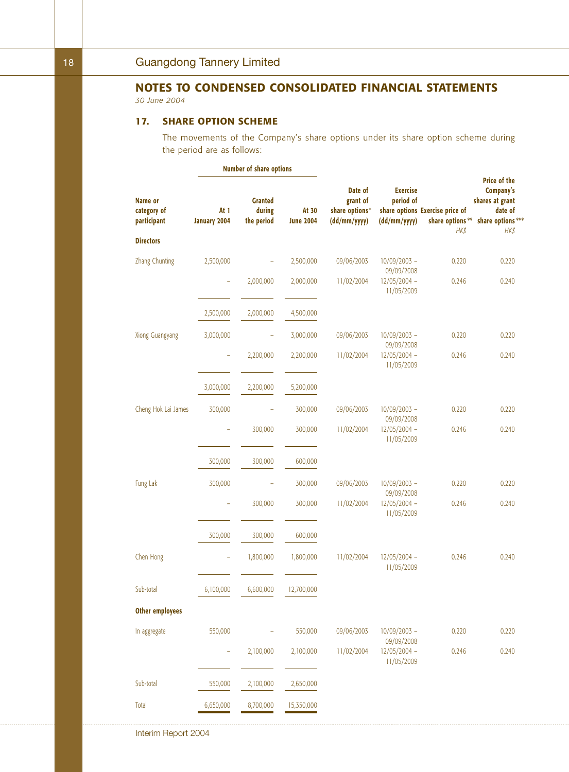## **17. SHARE OPTION SCHEME**

The movements of the Company's share options under its share option scheme during the period are as follows:

|                                       | Number of share options     |                                        |                           |                                                       |                                              |                                                            |                                                                                                    |
|---------------------------------------|-----------------------------|----------------------------------------|---------------------------|-------------------------------------------------------|----------------------------------------------|------------------------------------------------------------|----------------------------------------------------------------------------------------------------|
| Name or<br>category of<br>participant | At 1<br><b>January 2004</b> | <b>Granted</b><br>during<br>the period | At 30<br><b>June 2004</b> | Date of<br>grant of<br>share options*<br>(dd/mm/yyyy) | <b>Exercise</b><br>period of<br>(dd/mm/yyyy) | share options Exercise price of<br>share options**<br>HK\$ | <b>Price of the</b><br>Company's<br>shares at grant<br>date of<br>share options ***<br><b>HK\$</b> |
| <b>Directors</b>                      |                             |                                        |                           |                                                       |                                              |                                                            |                                                                                                    |
| Zhang Chunting                        | 2,500,000                   |                                        | 2,500,000                 | 09/06/2003                                            | $10/09/2003 -$<br>09/09/2008                 | 0.220                                                      | 0.220                                                                                              |
|                                       | ÷,                          | 2,000,000                              | 2,000,000                 | 11/02/2004                                            | $12/05/2004 -$<br>11/05/2009                 | 0.246                                                      | 0.240                                                                                              |
|                                       | 2,500,000                   | 2,000,000                              | 4,500,000                 |                                                       |                                              |                                                            |                                                                                                    |
| Xiong Guangyang                       | 3,000,000                   | -                                      | 3,000,000                 | 09/06/2003                                            | $10/09/2003 -$<br>09/09/2008                 | 0.220                                                      | 0.220                                                                                              |
|                                       | ÷                           | 2,200,000                              | 2,200,000                 | 11/02/2004                                            | $12/05/2004 -$<br>11/05/2009                 | 0.246                                                      | 0.240                                                                                              |
|                                       | 3,000,000                   | 2,200,000                              | 5,200,000                 |                                                       |                                              |                                                            |                                                                                                    |
| Cheng Hok Lai James                   | 300,000                     | -                                      | 300,000                   | 09/06/2003                                            | $10/09/2003 -$<br>09/09/2008                 | 0.220                                                      | 0.220                                                                                              |
|                                       |                             | 300,000                                | 300,000                   | 11/02/2004                                            | $12/05/2004 -$<br>11/05/2009                 | 0.246                                                      | 0.240                                                                                              |
|                                       | 300,000                     | 300,000                                | 600,000                   |                                                       |                                              |                                                            |                                                                                                    |
| Fung Lak                              | 300,000                     |                                        | 300,000                   | 09/06/2003                                            | $10/09/2003 -$<br>09/09/2008                 | 0.220                                                      | 0.220                                                                                              |
|                                       | ÷                           | 300,000                                | 300,000                   | 11/02/2004                                            | $12/05/2004 -$<br>11/05/2009                 | 0.246                                                      | 0.240                                                                                              |
|                                       | 300,000                     | 300,000                                | 600,000                   |                                                       |                                              |                                                            |                                                                                                    |
| Chen Hong                             | ÷                           | 1,800,000                              | 1,800,000                 | 11/02/2004                                            | $12/05/2004 -$<br>11/05/2009                 | 0.246                                                      | 0.240                                                                                              |
| Sub-total                             | 6,100,000                   | 6,600,000                              | 12,700,000                |                                                       |                                              |                                                            |                                                                                                    |
| <b>Other employees</b>                |                             |                                        |                           |                                                       |                                              |                                                            |                                                                                                    |
| In aggregate                          | 550,000                     | ÷                                      | 550,000                   | 09/06/2003                                            | 10/09/2003 -<br>09/09/2008                   | 0.220                                                      | 0.220                                                                                              |
|                                       | $\overline{\phantom{a}}$    | 2,100,000                              | 2,100,000                 | 11/02/2004                                            | $12/05/2004 -$<br>11/05/2009                 | 0.246                                                      | 0.240                                                                                              |
| Sub-total                             | 550,000                     | 2,100,000                              | 2,650,000                 |                                                       |                                              |                                                            |                                                                                                    |
| Total                                 | 6,650,000                   | 8,700,000                              | 15,350,000                |                                                       |                                              |                                                            |                                                                                                    |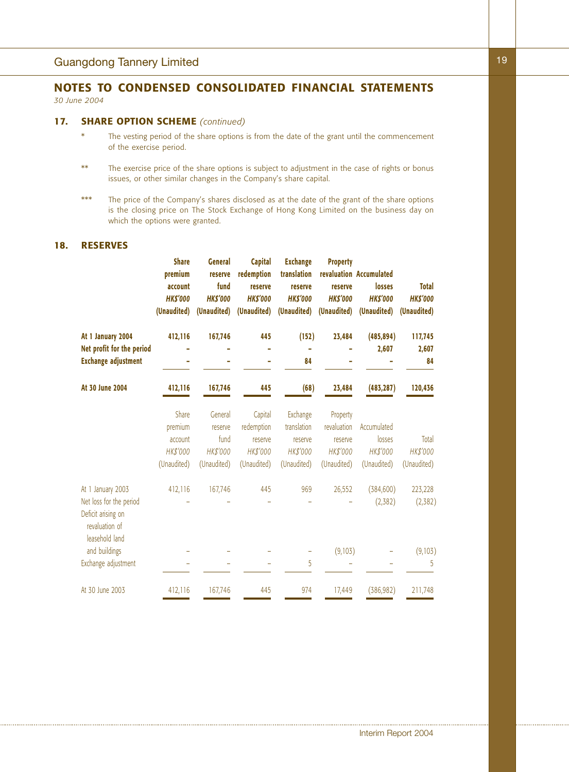#### **17. SHARE OPTION SCHEME** *(continued)*

- \* The vesting period of the share options is from the date of the grant until the commencement of the exercise period.
- \*\* The exercise price of the share options is subject to adjustment in the case of rights or bonus issues, or other similar changes in the Company's share capital.
- \*\*\* The price of the Company's shares disclosed as at the date of the grant of the share options is the closing price on The Stock Exchange of Hong Kong Limited on the business day on which the options were granted.

## **18. RESERVES**

|                                                                                                        | <b>Share</b><br>premium<br>account<br><b>HK\$'000</b><br>(Unaudited) | <b>General</b><br>reserve<br>fund<br><b>HK\$'000</b><br>(Unaudited) | <b>Capital</b><br>redemption<br>reserve<br><b>HK\$'000</b><br>(Unaudited) | <b>Exchange</b><br>translation<br>reserve<br><b>HK\$'000</b><br>(Unaudited) | <b>Property</b><br>reserve<br><b>HK\$'000</b><br>(Unaudited)  | revaluation Accumulated<br>losses<br><b>HK\$'000</b><br>(Unaudited) | <b>Total</b><br><b>HK\$'000</b><br>(Unaudited) |
|--------------------------------------------------------------------------------------------------------|----------------------------------------------------------------------|---------------------------------------------------------------------|---------------------------------------------------------------------------|-----------------------------------------------------------------------------|---------------------------------------------------------------|---------------------------------------------------------------------|------------------------------------------------|
| At 1 January 2004<br>Net profit for the period<br><b>Exchange adjustment</b>                           | 412,116                                                              | 167,746                                                             | 445                                                                       | (152)<br>84                                                                 | 23,484                                                        | (485, 894)<br>2,607                                                 | 117,745<br>2,607<br>84                         |
| At 30 June 2004                                                                                        | 412,116                                                              | 167,746                                                             | 445                                                                       | (68)                                                                        | 23,484                                                        | (483, 287)                                                          | 120,436                                        |
|                                                                                                        | Share<br>premium<br>account<br>HK\$'000<br>(Unaudited)               | General<br>reserve<br>fund<br>HK\$'000<br>(Unaudited)               | Capital<br>redemption<br>reserve<br>HK\$'000<br>(Unaudited)               | Exchange<br>translation<br>reserve<br>HK\$'000<br>(Unaudited)               | Property<br>revaluation<br>reserve<br>HK\$'000<br>(Unaudited) | Accumulated<br>losses<br>HK\$'000<br>(Unaudited)                    | Total<br>HK\$'000<br>(Unaudited)               |
| At 1 January 2003<br>Net loss for the period<br>Deficit arising on<br>revaluation of<br>leasehold land | 412,116                                                              | 167,746                                                             | 445                                                                       | 969                                                                         | 26,552                                                        | (384, 600)<br>(2,382)                                               | 223,228<br>(2,382)                             |
| and buildings<br>Exchange adjustment                                                                   |                                                                      |                                                                     |                                                                           | 5                                                                           | (9,103)                                                       |                                                                     | (9,103)<br>5                                   |
| At 30 June 2003                                                                                        | 412,116                                                              | 167,746                                                             | 445                                                                       | 974                                                                         | 17,449                                                        | (386, 982)                                                          | 211,748                                        |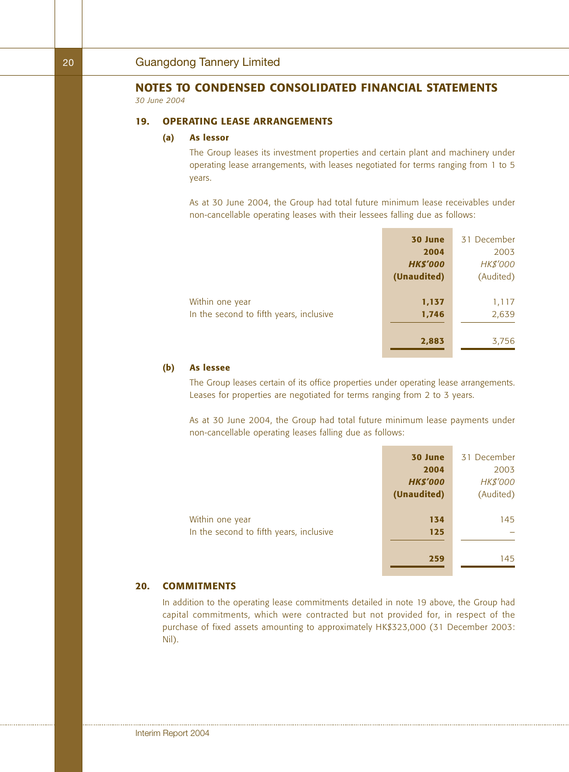**19. OPERATING LEASE ARRANGEMENTS**

#### **(a) As lessor**

The Group leases its investment properties and certain plant and machinery under operating lease arrangements, with leases negotiated for terms ranging from 1 to 5 years.

As at 30 June 2004, the Group had total future minimum lease receivables under non-cancellable operating leases with their lessees falling due as follows:

|                                         | 30 June         | 31 December |
|-----------------------------------------|-----------------|-------------|
|                                         | 2004            | 2003        |
|                                         | <b>HK\$'000</b> | HK\$'000    |
|                                         | (Unaudited)     | (Audited)   |
|                                         |                 |             |
| Within one year                         | 1,137           | 1,117       |
| In the second to fifth years, inclusive | 1,746           | 2,639       |
|                                         |                 |             |
|                                         | 2,883           | 3,756       |

#### **(b) As lessee**

The Group leases certain of its office properties under operating lease arrangements. Leases for properties are negotiated for terms ranging from 2 to 3 years.

As at 30 June 2004, the Group had total future minimum lease payments under non-cancellable operating leases falling due as follows:

|                                         | 30 June         | 31 December     |
|-----------------------------------------|-----------------|-----------------|
|                                         | 2004            | 2003            |
|                                         | <b>HK\$'000</b> | <b>HK\$'000</b> |
|                                         | (Unaudited)     | (Audited)       |
| Within one year                         | 134             | 145             |
| In the second to fifth years, inclusive | 125             |                 |
|                                         | 259             | 145             |

## **20. COMMITMENTS**

In addition to the operating lease commitments detailed in note 19 above, the Group had capital commitments, which were contracted but not provided for, in respect of the purchase of fixed assets amounting to approximately HK\$323,000 (31 December 2003: Nil).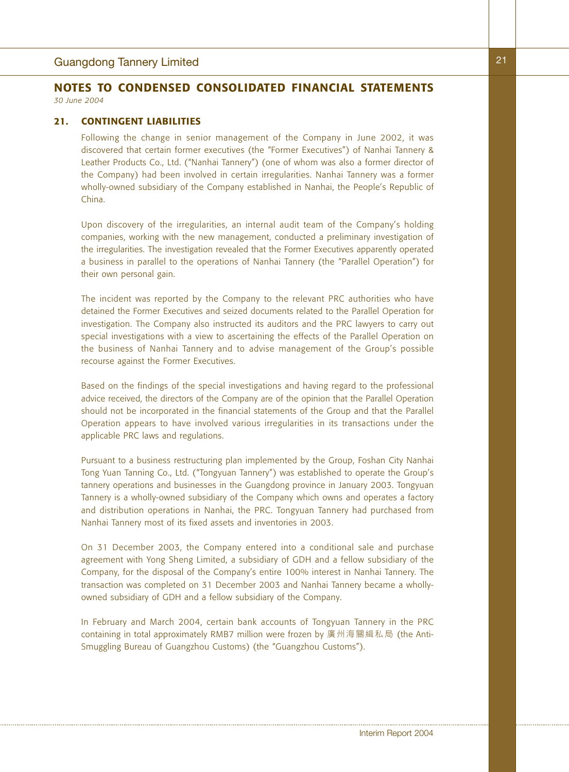### **21. CONTINGENT LIABILITIES**

Following the change in senior management of the Company in June 2002, it was discovered that certain former executives (the "Former Executives") of Nanhai Tannery & Leather Products Co., Ltd. ("Nanhai Tannery") (one of whom was also a former director of the Company) had been involved in certain irregularities. Nanhai Tannery was a former wholly-owned subsidiary of the Company established in Nanhai, the People's Republic of China.

Upon discovery of the irregularities, an internal audit team of the Company's holding companies, working with the new management, conducted a preliminary investigation of the irregularities. The investigation revealed that the Former Executives apparently operated a business in parallel to the operations of Nanhai Tannery (the "Parallel Operation") for their own personal gain.

The incident was reported by the Company to the relevant PRC authorities who have detained the Former Executives and seized documents related to the Parallel Operation for investigation. The Company also instructed its auditors and the PRC lawyers to carry out special investigations with a view to ascertaining the effects of the Parallel Operation on the business of Nanhai Tannery and to advise management of the Group's possible recourse against the Former Executives.

Based on the findings of the special investigations and having regard to the professional advice received, the directors of the Company are of the opinion that the Parallel Operation should not be incorporated in the financial statements of the Group and that the Parallel Operation appears to have involved various irregularities in its transactions under the applicable PRC laws and regulations.

Pursuant to a business restructuring plan implemented by the Group, Foshan City Nanhai Tong Yuan Tanning Co., Ltd. ("Tongyuan Tannery") was established to operate the Group's tannery operations and businesses in the Guangdong province in January 2003. Tongyuan Tannery is a wholly-owned subsidiary of the Company which owns and operates a factory and distribution operations in Nanhai, the PRC. Tongyuan Tannery had purchased from Nanhai Tannery most of its fixed assets and inventories in 2003.

On 31 December 2003, the Company entered into a conditional sale and purchase agreement with Yong Sheng Limited, a subsidiary of GDH and a fellow subsidiary of the Company, for the disposal of the Company's entire 100% interest in Nanhai Tannery. The transaction was completed on 31 December 2003 and Nanhai Tannery became a whollyowned subsidiary of GDH and a fellow subsidiary of the Company.

In February and March 2004, certain bank accounts of Tongyuan Tannery in the PRC containing in total approximately RMB7 million were frozen by 廣州海關緝私局 (the Anti-Smuggling Bureau of Guangzhou Customs) (the "Guangzhou Customs").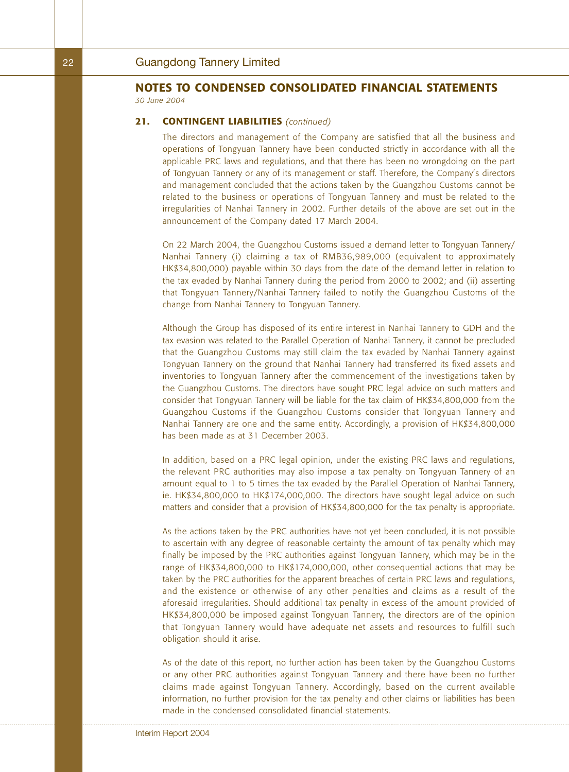#### **21. CONTINGENT LIABILITIES** *(continued)*

The directors and management of the Company are satisfied that all the business and operations of Tongyuan Tannery have been conducted strictly in accordance with all the applicable PRC laws and regulations, and that there has been no wrongdoing on the part of Tongyuan Tannery or any of its management or staff. Therefore, the Company's directors and management concluded that the actions taken by the Guangzhou Customs cannot be related to the business or operations of Tongyuan Tannery and must be related to the irregularities of Nanhai Tannery in 2002. Further details of the above are set out in the announcement of the Company dated 17 March 2004.

On 22 March 2004, the Guangzhou Customs issued a demand letter to Tongyuan Tannery/ Nanhai Tannery (i) claiming a tax of RMB36,989,000 (equivalent to approximately HK\$34,800,000) payable within 30 days from the date of the demand letter in relation to the tax evaded by Nanhai Tannery during the period from 2000 to 2002; and (ii) asserting that Tongyuan Tannery/Nanhai Tannery failed to notify the Guangzhou Customs of the change from Nanhai Tannery to Tongyuan Tannery.

Although the Group has disposed of its entire interest in Nanhai Tannery to GDH and the tax evasion was related to the Parallel Operation of Nanhai Tannery, it cannot be precluded that the Guangzhou Customs may still claim the tax evaded by Nanhai Tannery against Tongyuan Tannery on the ground that Nanhai Tannery had transferred its fixed assets and inventories to Tongyuan Tannery after the commencement of the investigations taken by the Guangzhou Customs. The directors have sought PRC legal advice on such matters and consider that Tongyuan Tannery will be liable for the tax claim of HK\$34,800,000 from the Guangzhou Customs if the Guangzhou Customs consider that Tongyuan Tannery and Nanhai Tannery are one and the same entity. Accordingly, a provision of HK\$34,800,000 has been made as at 31 December 2003.

In addition, based on a PRC legal opinion, under the existing PRC laws and regulations, the relevant PRC authorities may also impose a tax penalty on Tongyuan Tannery of an amount equal to 1 to 5 times the tax evaded by the Parallel Operation of Nanhai Tannery, ie. HK\$34,800,000 to HK\$174,000,000. The directors have sought legal advice on such matters and consider that a provision of HK\$34,800,000 for the tax penalty is appropriate.

As the actions taken by the PRC authorities have not yet been concluded, it is not possible to ascertain with any degree of reasonable certainty the amount of tax penalty which may finally be imposed by the PRC authorities against Tongyuan Tannery, which may be in the range of HK\$34,800,000 to HK\$174,000,000, other consequential actions that may be taken by the PRC authorities for the apparent breaches of certain PRC laws and regulations, and the existence or otherwise of any other penalties and claims as a result of the aforesaid irregularities. Should additional tax penalty in excess of the amount provided of HK\$34,800,000 be imposed against Tongyuan Tannery, the directors are of the opinion that Tongyuan Tannery would have adequate net assets and resources to fulfill such obligation should it arise.

As of the date of this report, no further action has been taken by the Guangzhou Customs or any other PRC authorities against Tongyuan Tannery and there have been no further claims made against Tongyuan Tannery. Accordingly, based on the current available information, no further provision for the tax penalty and other claims or liabilities has been made in the condensed consolidated financial statements.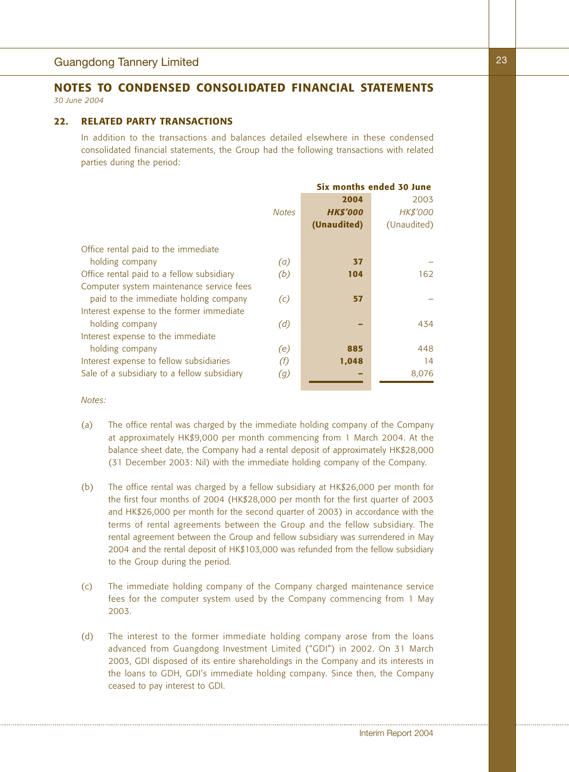### **22. RELATED PARTY TRANSACTIONS**

In addition to the transactions and balances detailed elsewhere in these condensed consolidated financial statements, the Group had the following transactions with related parties during the period:

|                                             |              | Six months ended 30 June |                 |  |
|---------------------------------------------|--------------|--------------------------|-----------------|--|
|                                             |              | 2004                     | 2003            |  |
|                                             | <b>Notes</b> | <b>HK\$'000</b>          | <b>HK\$'000</b> |  |
|                                             |              | (Unaudited)              | (Unaudited)     |  |
| Office rental paid to the immediate         |              |                          |                 |  |
| holding company                             | (a)          | 37                       |                 |  |
| Office rental paid to a fellow subsidiary   | (b)          | 104                      | 162             |  |
| Computer system maintenance service fees    |              |                          |                 |  |
| paid to the immediate holding company       | (c)          | 57                       |                 |  |
| Interest expense to the former immediate    |              |                          |                 |  |
| holding company                             | (d)          |                          | 434             |  |
| Interest expense to the immediate           |              |                          |                 |  |
| holding company                             | (e)          | 885                      | 448             |  |
| Interest expense to fellow subsidiaries     | (f)          | 1,048                    | 14              |  |
| Sale of a subsidiary to a fellow subsidiary | (g)          |                          | 8,076           |  |
|                                             |              |                          |                 |  |

*Notes:*

- (a) The office rental was charged by the immediate holding company of the Company at approximately HK\$9,000 per month commencing from 1 March 2004. At the balance sheet date, the Company had a rental deposit of approximately HK\$28,000 (31 December 2003: Nil) with the immediate holding company of the Company.
- (b) The office rental was charged by a fellow subsidiary at HK\$26,000 per month for the first four months of 2004 (HK\$28,000 per month for the first quarter of 2003 and HK\$26,000 per month for the second quarter of 2003) in accordance with the terms of rental agreements between the Group and the fellow subsidiary. The rental agreement between the Group and fellow subsidiary was surrendered in May 2004 and the rental deposit of HK\$103,000 was refunded from the fellow subsidiary to the Group during the period.
- (c) The immediate holding company of the Company charged maintenance service fees for the computer system used by the Company commencing from 1 May 2003.
- (d) The interest to the former immediate holding company arose from the loans advanced from Guangdong Investment Limited ("GDI") in 2002. On 31 March 2003, GDI disposed of its entire shareholdings in the Company and its interests in the loans to GDH, GDI's immediate holding company. Since then, the Company ceased to pay interest to GDI.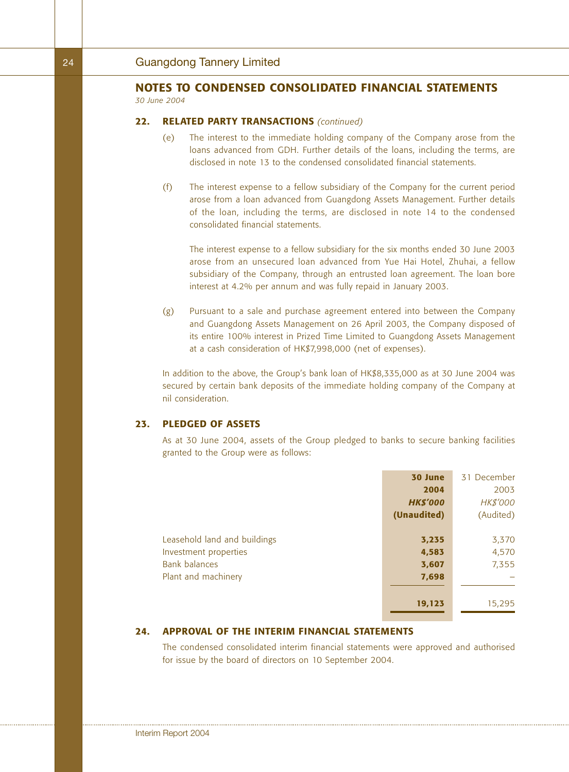#### **22. RELATED PARTY TRANSACTIONS** *(continued)*

- (e) The interest to the immediate holding company of the Company arose from the loans advanced from GDH. Further details of the loans, including the terms, are disclosed in note 13 to the condensed consolidated financial statements.
- (f) The interest expense to a fellow subsidiary of the Company for the current period arose from a loan advanced from Guangdong Assets Management. Further details of the loan, including the terms, are disclosed in note 14 to the condensed consolidated financial statements.

The interest expense to a fellow subsidiary for the six months ended 30 June 2003 arose from an unsecured loan advanced from Yue Hai Hotel, Zhuhai, a fellow subsidiary of the Company, through an entrusted loan agreement. The loan bore interest at 4.2% per annum and was fully repaid in January 2003.

(g) Pursuant to a sale and purchase agreement entered into between the Company and Guangdong Assets Management on 26 April 2003, the Company disposed of its entire 100% interest in Prized Time Limited to Guangdong Assets Management at a cash consideration of HK\$7,998,000 (net of expenses).

In addition to the above, the Group's bank loan of HK\$8,335,000 as at 30 June 2004 was secured by certain bank deposits of the immediate holding company of the Company at nil consideration.

## **23. PLEDGED OF ASSETS**

As at 30 June 2004, assets of the Group pledged to banks to secure banking facilities granted to the Group were as follows:

|                              | 30 June         | 31 December     |
|------------------------------|-----------------|-----------------|
|                              | 2004            | 2003            |
|                              | <b>HK\$'000</b> | <b>HK\$'000</b> |
|                              | (Unaudited)     | (Audited)       |
|                              |                 |                 |
| Leasehold land and buildings | 3,235           | 3,370           |
| Investment properties        | 4,583           | 4,570           |
| <b>Bank balances</b>         | 3,607           | 7,355           |
| Plant and machinery          | 7,698           |                 |
|                              |                 |                 |
|                              | 19,123          | 15,295          |

### **24. APPROVAL OF THE INTERIM FINANCIAL STATEMENTS**

The condensed consolidated interim financial statements were approved and authorised for issue by the board of directors on 10 September 2004.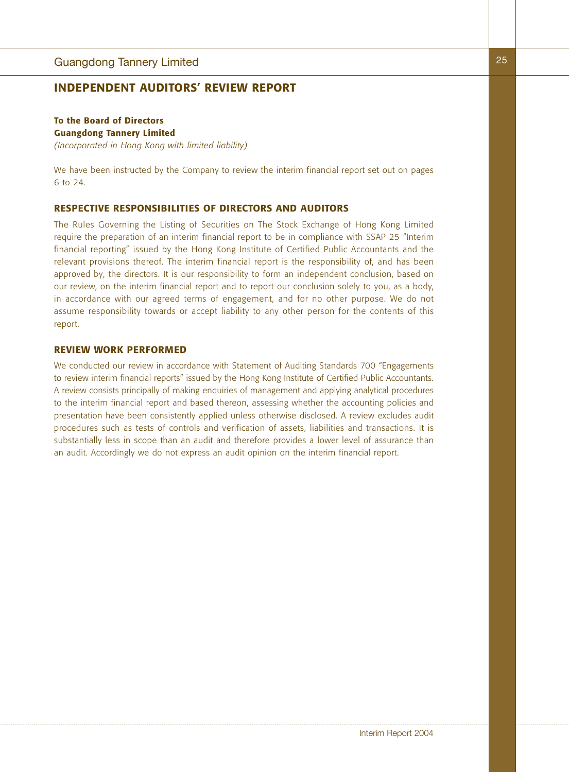## **INDEPENDENT AUDITORS' REVIEW REPORT**

## **To the Board of Directors Guangdong Tannery Limited**

*(Incorporated in Hong Kong with limited liability)*

We have been instructed by the Company to review the interim financial report set out on pages 6 to 24.

### **RESPECTIVE RESPONSIBILITIES OF DIRECTORS AND AUDITORS**

The Rules Governing the Listing of Securities on The Stock Exchange of Hong Kong Limited require the preparation of an interim financial report to be in compliance with SSAP 25 "Interim financial reporting" issued by the Hong Kong Institute of Certified Public Accountants and the relevant provisions thereof. The interim financial report is the responsibility of, and has been approved by, the directors. It is our responsibility to form an independent conclusion, based on our review, on the interim financial report and to report our conclusion solely to you, as a body, in accordance with our agreed terms of engagement, and for no other purpose. We do not assume responsibility towards or accept liability to any other person for the contents of this report.

### **REVIEW WORK PERFORMED**

We conducted our review in accordance with Statement of Auditing Standards 700 "Engagements to review interim financial reports" issued by the Hong Kong Institute of Certified Public Accountants. A review consists principally of making enquiries of management and applying analytical procedures to the interim financial report and based thereon, assessing whether the accounting policies and presentation have been consistently applied unless otherwise disclosed. A review excludes audit procedures such as tests of controls and verification of assets, liabilities and transactions. It is substantially less in scope than an audit and therefore provides a lower level of assurance than an audit. Accordingly we do not express an audit opinion on the interim financial report.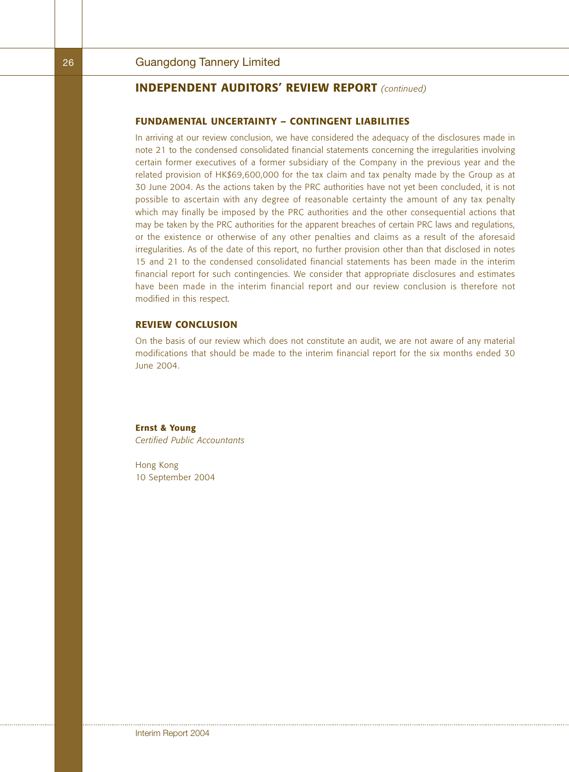## **INDEPENDENT AUDITORS' REVIEW REPORT** *(continued)*

### **FUNDAMENTAL UNCERTAINTY – CONTINGENT LIABILITIES**

In arriving at our review conclusion, we have considered the adequacy of the disclosures made in note 21 to the condensed consolidated financial statements concerning the irregularities involving certain former executives of a former subsidiary of the Company in the previous year and the related provision of HK\$69,600,000 for the tax claim and tax penalty made by the Group as at 30 June 2004. As the actions taken by the PRC authorities have not yet been concluded, it is not possible to ascertain with any degree of reasonable certainty the amount of any tax penalty which may finally be imposed by the PRC authorities and the other consequential actions that may be taken by the PRC authorities for the apparent breaches of certain PRC laws and regulations, or the existence or otherwise of any other penalties and claims as a result of the aforesaid irregularities. As of the date of this report, no further provision other than that disclosed in notes 15 and 21 to the condensed consolidated financial statements has been made in the interim financial report for such contingencies. We consider that appropriate disclosures and estimates have been made in the interim financial report and our review conclusion is therefore not modified in this respect.

### **REVIEW CONCLUSION**

On the basis of our review which does not constitute an audit, we are not aware of any material modifications that should be made to the interim financial report for the six months ended 30 June 2004.

**Ernst & Young** *Certified Public Accountants*

Hong Kong 10 September 2004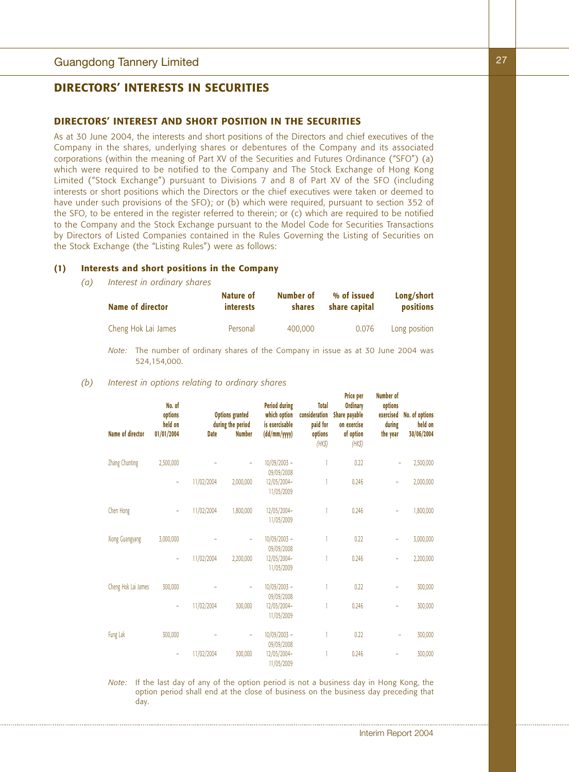## **DIRECTORS' INTERESTS IN SECURITIES**

#### **DIRECTORS' INTEREST AND SHORT POSITION IN THE SECURITIES**

As at 30 June 2004, the interests and short positions of the Directors and chief executives of the Company in the shares, underlying shares or debentures of the Company and its associated corporations (within the meaning of Part XV of the Securities and Futures Ordinance ("SFO") (a) which were required to be notified to the Company and The Stock Exchange of Hong Kong Limited ("Stock Exchange") pursuant to Divisions 7 and 8 of Part XV of the SFO (including interests or short positions which the Directors or the chief executives were taken or deemed to have under such provisions of the SFO); or (b) which were required, pursuant to section 352 of the SFO, to be entered in the register referred to therein; or (c) which are required to be notified to the Company and the Stock Exchange pursuant to the Model Code for Securities Transactions by Directors of Listed Companies contained in the Rules Governing the Listing of Securities on the Stock Exchange (the "Listing Rules") were as follows:

### **(1) Interests and short positions in the Company**

*(a) Interest in ordinary shares*

| Name of director    | Nature of        | Number of | % of issued   | Long/short    |
|---------------------|------------------|-----------|---------------|---------------|
|                     | <i>interests</i> | shares    | share capital | positions     |
| Cheng Hok Lai James | Personal         | 400,000   | 0.076         | Long position |

*Note:* The number of ordinary shares of the Company in issue as at 30 June 2004 was 524,154,000.

#### *(b) Interest in options relating to ordinary shares*

| Name of director    | No. of<br>options<br>held on<br>01/01/2004 | <b>Date</b> | <b>Options</b> granted<br>during the period<br><b>Number</b> | <b>Period during</b><br>which option<br>is exercisable<br>(dd/mm/yyyy) | <b>Total</b><br>consideration<br>paid for<br>options<br>$(HK\$ | <b>Price per</b><br><b>Ordinary</b><br>Share payable<br>on exercise<br>of option<br>$(HK\$ | Numper of<br>options<br>exercised<br>during<br>the year | No. of options<br>held on<br>30/06/2004 |  |
|---------------------|--------------------------------------------|-------------|--------------------------------------------------------------|------------------------------------------------------------------------|----------------------------------------------------------------|--------------------------------------------------------------------------------------------|---------------------------------------------------------|-----------------------------------------|--|
| Zhang Chunting      | 2,500,000                                  |             | ٠                                                            | $10/09/2003 -$<br>09/09/2008                                           |                                                                | 0.22                                                                                       | ۰                                                       | 2,500,000                               |  |
|                     | ÷                                          | 11/02/2004  | 2,000,000                                                    | 12/05/2004-<br>11/05/2009                                              |                                                                | 0.246                                                                                      | ÷                                                       | 2,000,000                               |  |
| Chen Hong           | ٠                                          | 11/02/2004  | 1,800,000                                                    | 12/05/2004-<br>11/05/2009                                              |                                                                | 0.246                                                                                      | ÷,                                                      | 1,800,000                               |  |
| Xiong Guangyang     | 3,000,000                                  |             | ۰                                                            | $10/09/2003 -$<br>09/09/2008                                           |                                                                | 0.22                                                                                       | i,                                                      | 3,000,000                               |  |
|                     | ÷                                          | 11/02/2004  | 2,200,000                                                    | 12/05/2004-<br>11/05/2009                                              |                                                                | 0.246                                                                                      | ÷                                                       | 2,200,000                               |  |
| Cheng Hok Lai James | 300,000                                    |             |                                                              | $10/09/2003 -$<br>09/09/2008                                           |                                                                | 0.22                                                                                       | ÷                                                       | 300,000                                 |  |
|                     | ÷                                          | 11/02/2004  | 300,000                                                      | 12/05/2004-<br>11/05/2009                                              |                                                                | 0.246                                                                                      |                                                         | 300,000                                 |  |
| Fung Lak            | 300,000                                    |             | ٠                                                            | $10/09/2003 -$<br>09/09/2008                                           |                                                                | 0.22                                                                                       |                                                         | 300,000                                 |  |
|                     | ÷                                          | 11/02/2004  | 300,000                                                      | 12/05/2004-<br>11/05/2009                                              |                                                                | 0.246                                                                                      | ÷                                                       | 300,000                                 |  |

*Note:* If the last day of any of the option period is not a business day in Hong Kong, the option period shall end at the close of business on the business day preceding that day.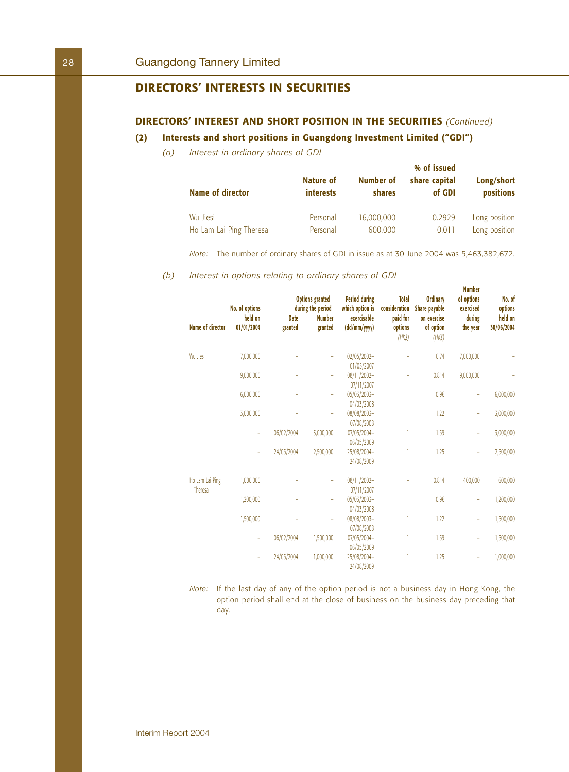## **DIRECTORS' INTERESTS IN SECURITIES**

## **DIRECTORS' INTEREST AND SHORT POSITION IN THE SECURITIES** *(Continued)*

## **(2) Interests and short positions in Guangdong Investment Limited ("GDI")**

*(a) Interest in ordinary shares of GDI*

|                         | Nature of        | Number of     | % of issued<br>share capital | Long/short    |
|-------------------------|------------------|---------------|------------------------------|---------------|
| <b>Name of director</b> | <i>interests</i> | <b>shares</b> | of GDI                       | positions     |
| Wu Jiesi                | Personal         | 16,000,000    | 0.2929                       | Long position |
| Ho Lam Lai Ping Theresa | Personal         | 600,000       | 0.011                        | Long position |

*Note:* The number of ordinary shares of GDI in issue as at 30 June 2004 was 5,463,382,672.

*(b) Interest in options relating to ordinary shares of GDI*

| <b>Name of director</b>    | No. of options<br>held on<br>01/01/2004 | <b>Date</b><br>granted | <b>Options granted</b><br>during the period<br><b>Number</b><br>granted | <b>Period during</b><br>which option is<br>exercisable<br>(dd/mm/yyyy) | <b>Total</b><br>consideration<br>paid for<br>options<br>$(HK\$ | <b>Ordinary</b><br>Share payable<br>on exercise<br>of option<br>$(HK\$ | <b>Number</b><br>of options<br>exercised<br>during<br>the year | No. of<br>options<br>held on<br>30/06/2004 |
|----------------------------|-----------------------------------------|------------------------|-------------------------------------------------------------------------|------------------------------------------------------------------------|----------------------------------------------------------------|------------------------------------------------------------------------|----------------------------------------------------------------|--------------------------------------------|
| Wu Jiesi                   | 7,000,000                               |                        | ÷                                                                       | 02/05/2002-                                                            |                                                                | 0.74                                                                   | 7,000,000                                                      |                                            |
|                            |                                         |                        |                                                                         | 01/05/2007                                                             |                                                                |                                                                        |                                                                |                                            |
|                            | 9,000,000                               |                        |                                                                         | 08/11/2002-<br>07/11/2007                                              |                                                                | 0.814                                                                  | 9,000,000                                                      |                                            |
|                            | 6,000,000                               |                        |                                                                         | 05/03/2003-<br>04/03/2008                                              |                                                                | 0.96                                                                   | ۰                                                              | 6,000,000                                  |
|                            | 3,000,000                               |                        |                                                                         | 08/08/2003-<br>07/08/2008                                              |                                                                | 1.22                                                                   | ÷                                                              | 3,000,000                                  |
|                            | ÷                                       | 06/02/2004             | 3,000,000                                                               | 07/05/2004-<br>06/05/2009                                              |                                                                | 1.59                                                                   | ۰                                                              | 3,000,000                                  |
|                            | ä,                                      | 24/05/2004             | 2,500,000                                                               | 25/08/2004-<br>24/08/2009                                              |                                                                | 1.25                                                                   | ۰                                                              | 2,500,000                                  |
| Ho Lam Lai Ping<br>Theresa | 1,000,000                               |                        | ÷                                                                       | 08/11/2002-<br>07/11/2007                                              |                                                                | 0.814                                                                  | 400,000                                                        | 600,000                                    |
|                            | 1,200,000                               |                        | ÷                                                                       | 05/03/2003-<br>04/03/2008                                              |                                                                | 0.96                                                                   | ۰                                                              | 1,200,000                                  |
|                            | 1,500,000                               |                        | ٠                                                                       | 08/08/2003-<br>07/08/2008                                              |                                                                | 1.22                                                                   | ÷                                                              | 1,500,000                                  |
|                            | ÷                                       | 06/02/2004             | 1,500,000                                                               | 07/05/2004-<br>06/05/2009                                              |                                                                | 1.59                                                                   | ۰                                                              | 1,500,000                                  |
|                            | ÷                                       | 24/05/2004             | 1,000,000                                                               | 25/08/2004-<br>24/08/2009                                              |                                                                | 1.25                                                                   | ۰                                                              | 1,000,000                                  |

*Note:* If the last day of any of the option period is not a business day in Hong Kong, the option period shall end at the close of business on the business day preceding that day.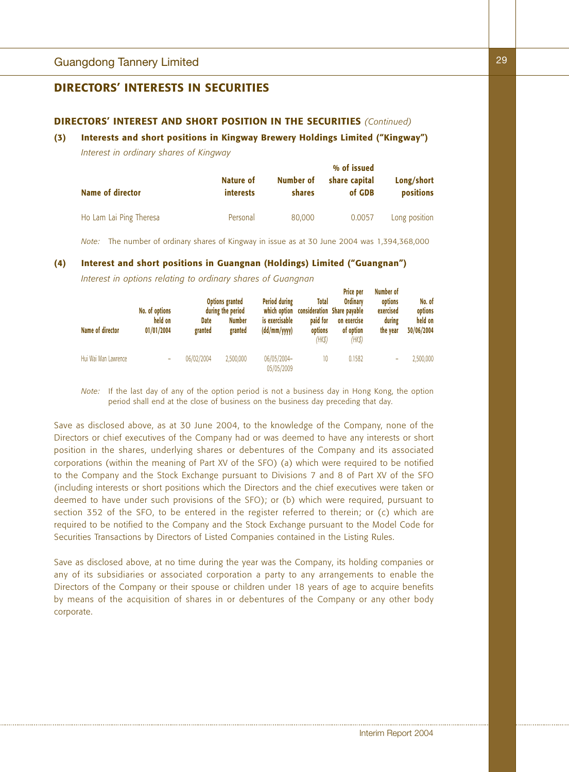## **DIRECTORS' INTERESTS IN SECURITIES**

## **DIRECTORS' INTEREST AND SHORT POSITION IN THE SECURITIES** *(Continued)*

#### **(3) Interests and short positions in Kingway Brewery Holdings Limited ("Kingway")**

*Interest in ordinary shares of Kingway*

| <b>Name of director</b> | Nature of<br>interests | Number of<br><b>shares</b> | % of issued<br>share capital<br>of GDB | Long/short<br><b>positions</b> |
|-------------------------|------------------------|----------------------------|----------------------------------------|--------------------------------|
| Ho Lam Lai Ping Theresa | Personal               | 80,000                     | 0.0057                                 | Long position                  |

*Note:* The number of ordinary shares of Kingway in issue as at 30 June 2004 was 1,394,368,000

#### **(4) Interest and short positions in Guangnan (Holdings) Limited ("Guangnan")**

*Interest in options relating to ordinary shares of Guangnan*

|                      | No. of options        |                 | <b>Options granted</b><br>during the period | <b>Period during</b><br>which option | Total                         | <b>Price per</b><br><b>Ordinary</b><br>consideration Share payable | Number of<br>options<br>exercised | No. of<br>options     |
|----------------------|-----------------------|-----------------|---------------------------------------------|--------------------------------------|-------------------------------|--------------------------------------------------------------------|-----------------------------------|-----------------------|
| Name of director     | held on<br>01/01/2004 | Date<br>granted | <b>Number</b><br>granted                    | is exercisable<br>(dd/mm/yyyy)       | paid for<br>options<br>(HK\$) | on exercise<br>of option<br>$(HK\$                                 | during<br>the year                | held on<br>30/06/2004 |
| Hui Wai Man Lawrence |                       | 06/02/2004      | 2.500.000                                   | 06/05/2004-<br>05/05/2009            | 10                            | 0.1582                                                             |                                   | 2,500,000             |

*Note:* If the last day of any of the option period is not a business day in Hong Kong, the option period shall end at the close of business on the business day preceding that day.

Save as disclosed above, as at 30 June 2004, to the knowledge of the Company, none of the Directors or chief executives of the Company had or was deemed to have any interests or short position in the shares, underlying shares or debentures of the Company and its associated corporations (within the meaning of Part XV of the SFO) (a) which were required to be notified to the Company and the Stock Exchange pursuant to Divisions 7 and 8 of Part XV of the SFO (including interests or short positions which the Directors and the chief executives were taken or deemed to have under such provisions of the SFO); or (b) which were required, pursuant to section 352 of the SFO, to be entered in the register referred to therein; or (c) which are required to be notified to the Company and the Stock Exchange pursuant to the Model Code for Securities Transactions by Directors of Listed Companies contained in the Listing Rules.

Save as disclosed above, at no time during the year was the Company, its holding companies or any of its subsidiaries or associated corporation a party to any arrangements to enable the Directors of the Company or their spouse or children under 18 years of age to acquire benefits by means of the acquisition of shares in or debentures of the Company or any other body corporate.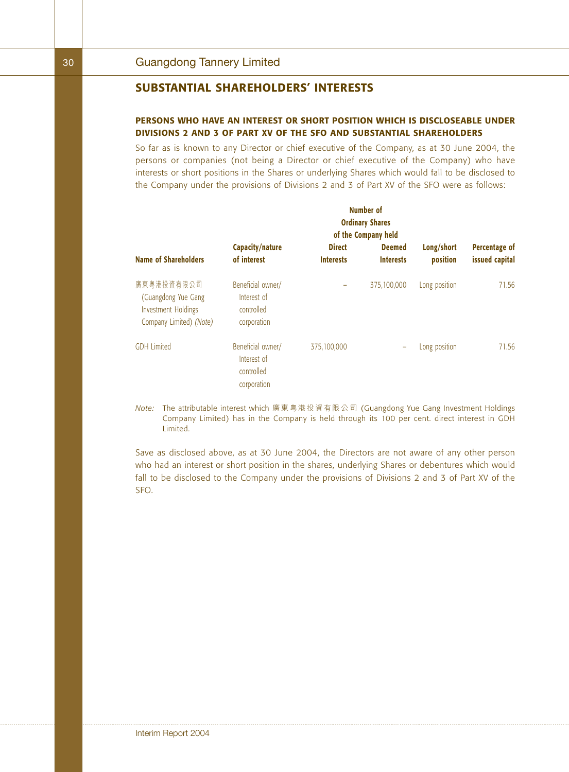## **SUBSTANTIAL SHAREHOLDERS' INTERESTS**

## **PERSONS WHO HAVE AN INTEREST OR SHORT POSITION WHICH IS DISCLOSEABLE UNDER DIVISIONS 2 AND 3 OF PART XV OF THE SFO AND SUBSTANTIAL SHAREHOLDERS**

So far as is known to any Director or chief executive of the Company, as at 30 June 2004, the persons or companies (not being a Director or chief executive of the Company) who have interests or short positions in the Shares or underlying Shares which would fall to be disclosed to the Company under the provisions of Divisions 2 and 3 of Part XV of the SFO were as follows:

|                                                                                     | Number of<br><b>Ordinary Shares</b><br>of the Company held    |                                   |                                   |                        |                                 |  |  |  |
|-------------------------------------------------------------------------------------|---------------------------------------------------------------|-----------------------------------|-----------------------------------|------------------------|---------------------------------|--|--|--|
| <b>Name of Shareholders</b>                                                         | Capacity/nature<br>of interest                                | <b>Direct</b><br><b>Interests</b> | <b>Deemed</b><br><b>Interests</b> | Long/short<br>position | Percentage of<br>issued capital |  |  |  |
| 廣東粵港投資有限公司<br>(Guangdong Yue Gang<br>Investment Holdings<br>Company Limited) (Note) | Beneficial owner/<br>Interest of<br>controlled<br>corporation |                                   | 375,100,000                       | Long position          | 71.56                           |  |  |  |
| <b>GDH</b> Limited                                                                  | Beneficial owner/<br>Interest of<br>controlled<br>corporation | 375,100,000                       | -                                 | Long position          | 71.56                           |  |  |  |

*Note:* The attributable interest which 廣東粵港投資有限公司 (Guangdong Yue Gang Investment Holdings Company Limited) has in the Company is held through its 100 per cent. direct interest in GDH Limited.

Save as disclosed above, as at 30 June 2004, the Directors are not aware of any other person who had an interest or short position in the shares, underlying Shares or debentures which would fall to be disclosed to the Company under the provisions of Divisions 2 and 3 of Part XV of the SFO.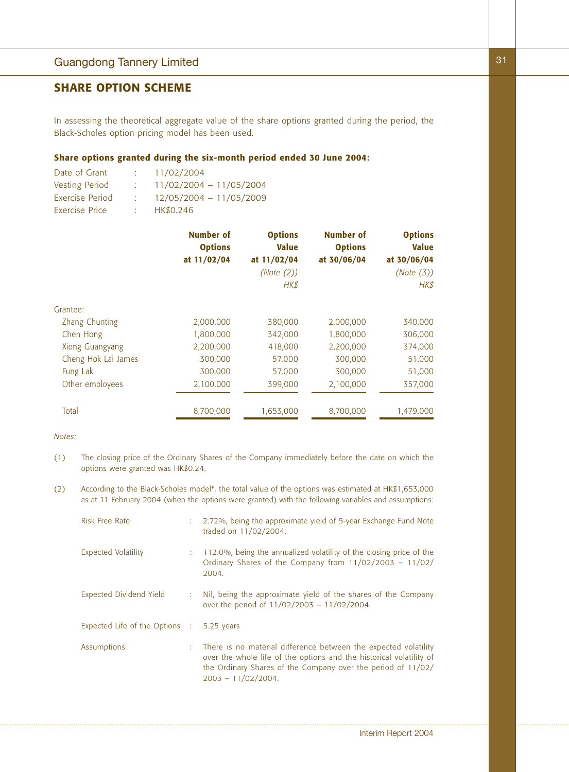## Guangdong Tannery Limited

## **SHARE OPTION SCHEME**

In assessing the theoretical aggregate value of the share options granted during the period, the Black-Scholes option pricing model has been used.

## **Share options granted during the six-month period ended 30 June 2004:**

| Date of Grant         |      | 11/02/2004                |
|-----------------------|------|---------------------------|
| Vesting Period        |      | $11/02/2004 - 11/05/2004$ |
| Exercise Period       |      | $12/05/2004 - 11/05/2009$ |
| <b>Exercise Price</b> | t in | HK\$0.246                 |

|                     | <b>Number of</b><br><b>Options</b><br>at 11/02/04 | <b>Options</b><br><b>Value</b><br>at 11/02/04<br>(Note (2))<br><b>HK\$</b> | <b>Number of</b><br><b>Options</b><br>at 30/06/04 | <b>Options</b><br><b>Value</b><br>at 30/06/04<br>(Note (3))<br>HK\$ |
|---------------------|---------------------------------------------------|----------------------------------------------------------------------------|---------------------------------------------------|---------------------------------------------------------------------|
| Grantee:            |                                                   |                                                                            |                                                   |                                                                     |
| Zhang Chunting      | 2,000,000                                         | 380,000                                                                    | 2,000,000                                         | 340,000                                                             |
| Chen Hong           | 1,800,000                                         | 342,000                                                                    | 1,800,000                                         | 306,000                                                             |
| Xiong Guangyang     | 2,200,000                                         | 418,000                                                                    | 2,200,000                                         | 374,000                                                             |
| Cheng Hok Lai James | 300,000                                           | 57,000                                                                     | 300,000                                           | 51,000                                                              |
| Fung Lak            | 300,000                                           | 57,000                                                                     | 300,000                                           | 51,000                                                              |
| Other employees     | 2,100,000                                         | 399,000                                                                    | 2,100,000                                         | 357,000                                                             |
| Total               | 8,700,000                                         | 1,653,000                                                                  | 8,700,000                                         | 1,479,000                                                           |

*Notes:*

- (1) The closing price of the Ordinary Shares of the Company immediately before the date on which the options were granted was HK\$0.24.
- (2) According to the Black-Scholes model<sup>#</sup>, the total value of the options was estimated at HK\$1,653,000 as at 11 February 2004 (when the options were granted) with the following variables and assumptions:

| Risk Free Rate                            | t. | 2.72%, being the approximate yield of 5-year Exchange Fund Note<br>traded on 11/02/2004.                                                                                                                                          |
|-------------------------------------------|----|-----------------------------------------------------------------------------------------------------------------------------------------------------------------------------------------------------------------------------------|
| <b>Expected Volatility</b>                |    | 112.0%, being the annualized volatility of the closing price of the<br>Ordinary Shares of the Company from 11/02/2003 - 11/02/<br>2004.                                                                                           |
| <b>Expected Dividend Yield</b>            | ÷. | Nil, being the approximate yield of the shares of the Company<br>over the period of $11/02/2003 - 11/02/2004$ .                                                                                                                   |
| Expected Life of the Options : 5.25 years |    |                                                                                                                                                                                                                                   |
| Assumptions                               |    | : There is no material difference between the expected volatility<br>over the whole life of the options and the historical volatility of<br>the Ordinary Shares of the Company over the period of 11/02/<br>$2003 - 11/02/2004$ . |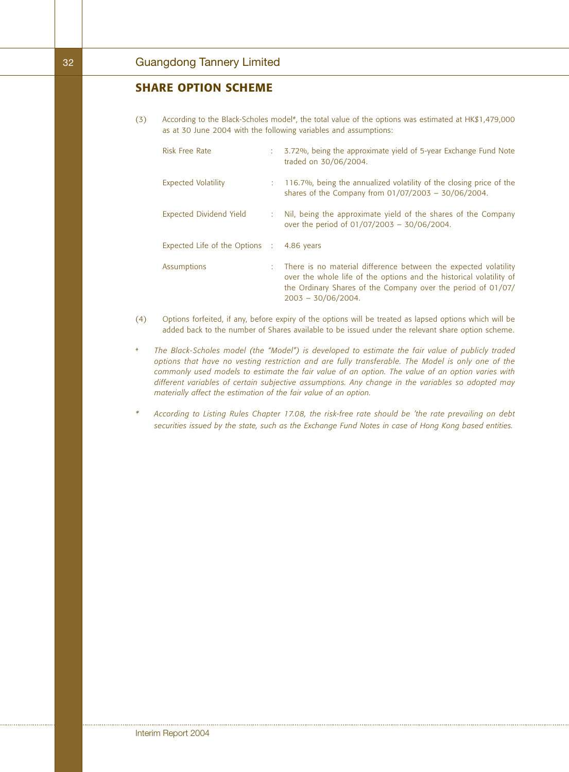## **SHARE OPTION SCHEME**

(3) According to the Black-Scholes model<sup>#</sup>, the total value of the options was estimated at HK\$1,479,000 as at 30 June 2004 with the following variables and assumptions:

| <b>Risk Free Rate</b>          |    | 3.72%, being the approximate yield of 5-year Exchange Fund Note<br>traded on 30/06/2004.                                                                                                                                        |
|--------------------------------|----|---------------------------------------------------------------------------------------------------------------------------------------------------------------------------------------------------------------------------------|
| <b>Expected Volatility</b>     |    | : 116.7%, being the annualized volatility of the closing price of the<br>shares of the Company from $01/07/2003 - 30/06/2004$ .                                                                                                 |
| <b>Expected Dividend Yield</b> |    | Nil, being the approximate yield of the shares of the Company<br>over the period of $01/07/2003 - 30/06/2004$ .                                                                                                                 |
| Expected Life of the Options : |    | 4.86 years                                                                                                                                                                                                                      |
| Assumptions                    | t. | There is no material difference between the expected volatility<br>over the whole life of the options and the historical volatility of<br>the Ordinary Shares of the Company over the period of 01/07/<br>$2003 - 30/06/2004$ . |

- (4) Options forfeited, if any, before expiry of the options will be treated as lapsed options which will be added back to the number of Shares available to be issued under the relevant share option scheme.
- *# The Black-Scholes model (the "Model") is developed to estimate the fair value of publicly traded options that have no vesting restriction and are fully transferable. The Model is only one of the commonly used models to estimate the fair value of an option. The value of an option varies with different variables of certain subjective assumptions. Any change in the variables so adopted may materially affect the estimation of the fair value of an option.*
- *\* According to Listing Rules Chapter 17.08, the risk-free rate should be 'the rate prevailing on debt securities issued by the state, such as the Exchange Fund Notes in case of Hong Kong based entities.*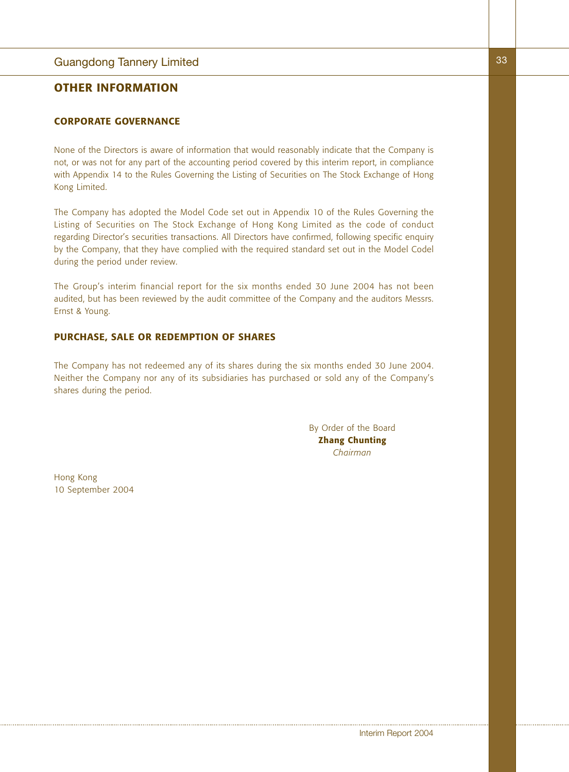## Guangdong Tannery Limited

## **OTHER INFORMATION**

## **CORPORATE GOVERNANCE**

None of the Directors is aware of information that would reasonably indicate that the Company is not, or was not for any part of the accounting period covered by this interim report, in compliance with Appendix 14 to the Rules Governing the Listing of Securities on The Stock Exchange of Hong Kong Limited.

The Company has adopted the Model Code set out in Appendix 10 of the Rules Governing the Listing of Securities on The Stock Exchange of Hong Kong Limited as the code of conduct regarding Director's securities transactions. All Directors have confirmed, following specific enquiry by the Company, that they have complied with the required standard set out in the Model Codel during the period under review.

The Group's interim financial report for the six months ended 30 June 2004 has not been audited, but has been reviewed by the audit committee of the Company and the auditors Messrs. Ernst & Young.

#### **PURCHASE, SALE OR REDEMPTION OF SHARES**

The Company has not redeemed any of its shares during the six months ended 30 June 2004. Neither the Company nor any of its subsidiaries has purchased or sold any of the Company's shares during the period.

> By Order of the Board **Zhang Chunting** *Chairman*

Hong Kong 10 September 2004